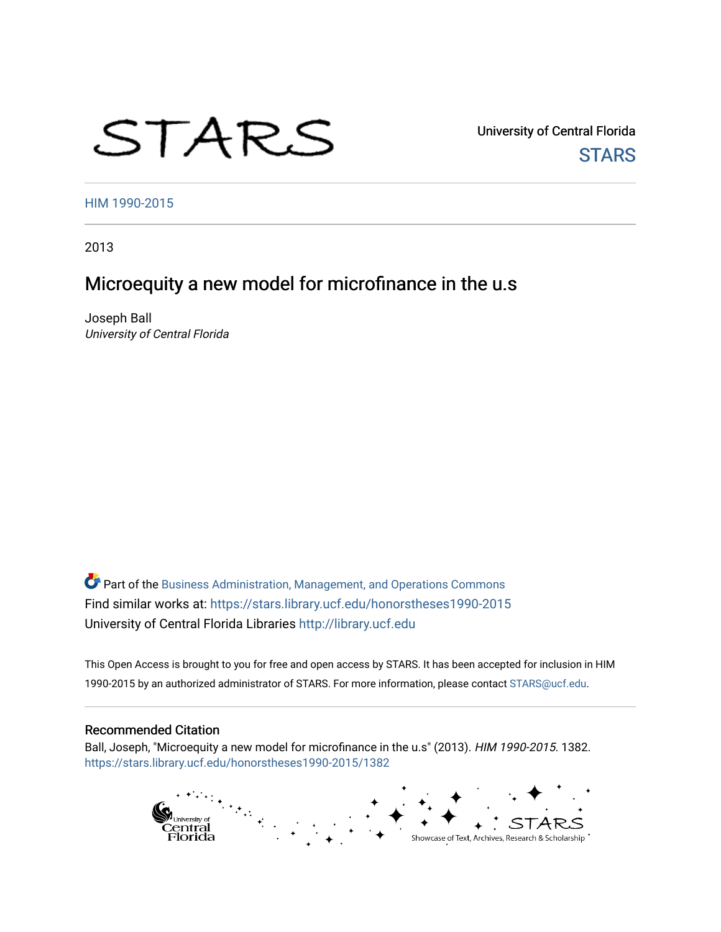# STARS

University of Central Florida **STARS** 

[HIM 1990-2015](https://stars.library.ucf.edu/honorstheses1990-2015) 

2013

# Microequity a new model for microfinance in the u.s

Joseph Ball University of Central Florida

Part of the [Business Administration, Management, and Operations Commons](http://network.bepress.com/hgg/discipline/623?utm_source=stars.library.ucf.edu%2Fhonorstheses1990-2015%2F1382&utm_medium=PDF&utm_campaign=PDFCoverPages) Find similar works at: <https://stars.library.ucf.edu/honorstheses1990-2015> University of Central Florida Libraries [http://library.ucf.edu](http://library.ucf.edu/) 

This Open Access is brought to you for free and open access by STARS. It has been accepted for inclusion in HIM 1990-2015 by an authorized administrator of STARS. For more information, please contact [STARS@ucf.edu](mailto:STARS@ucf.edu).

#### Recommended Citation

Ball, Joseph, "Microequity a new model for microfinance in the u.s" (2013). HIM 1990-2015. 1382. [https://stars.library.ucf.edu/honorstheses1990-2015/1382](https://stars.library.ucf.edu/honorstheses1990-2015/1382?utm_source=stars.library.ucf.edu%2Fhonorstheses1990-2015%2F1382&utm_medium=PDF&utm_campaign=PDFCoverPages) 

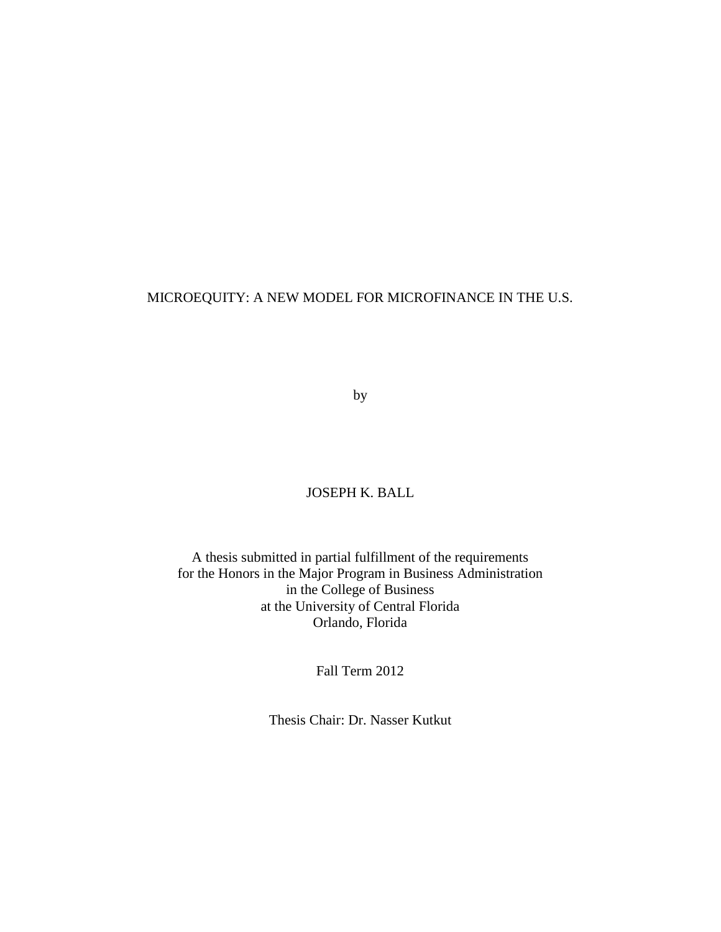# MICROEQUITY: A NEW MODEL FOR MICROFINANCE IN THE U.S.

by

# JOSEPH K. BALL

A thesis submitted in partial fulfillment of the requirements for the Honors in the Major Program in Business Administration in the College of Business at the University of Central Florida Orlando, Florida

Fall Term 2012

Thesis Chair: Dr. Nasser Kutkut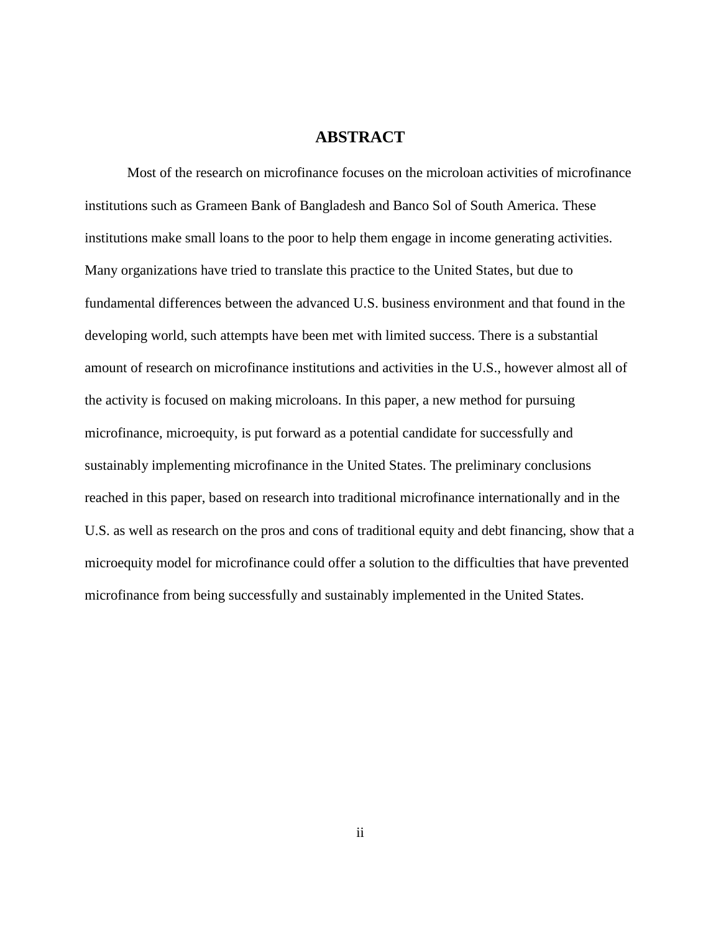# **ABSTRACT**

Most of the research on microfinance focuses on the microloan activities of microfinance institutions such as Grameen Bank of Bangladesh and Banco Sol of South America. These institutions make small loans to the poor to help them engage in income generating activities. Many organizations have tried to translate this practice to the United States, but due to fundamental differences between the advanced U.S. business environment and that found in the developing world, such attempts have been met with limited success. There is a substantial amount of research on microfinance institutions and activities in the U.S., however almost all of the activity is focused on making microloans. In this paper, a new method for pursuing microfinance, microequity, is put forward as a potential candidate for successfully and sustainably implementing microfinance in the United States. The preliminary conclusions reached in this paper, based on research into traditional microfinance internationally and in the U.S. as well as research on the pros and cons of traditional equity and debt financing, show that a microequity model for microfinance could offer a solution to the difficulties that have prevented microfinance from being successfully and sustainably implemented in the United States.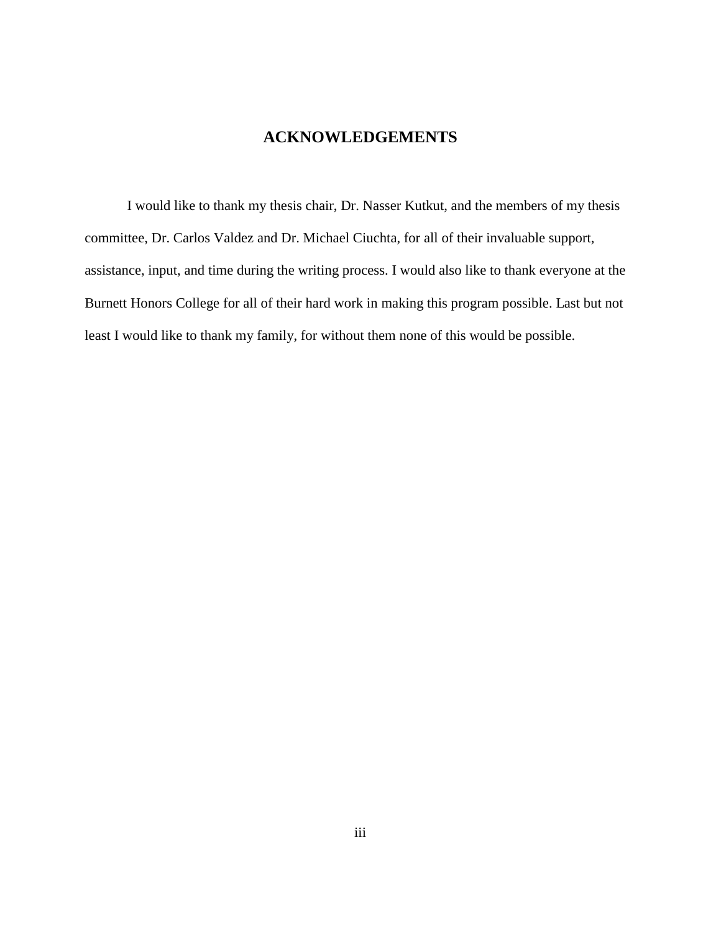# **ACKNOWLEDGEMENTS**

I would like to thank my thesis chair, Dr. Nasser Kutkut, and the members of my thesis committee, Dr. Carlos Valdez and Dr. Michael Ciuchta, for all of their invaluable support, assistance, input, and time during the writing process. I would also like to thank everyone at the Burnett Honors College for all of their hard work in making this program possible. Last but not least I would like to thank my family, for without them none of this would be possible.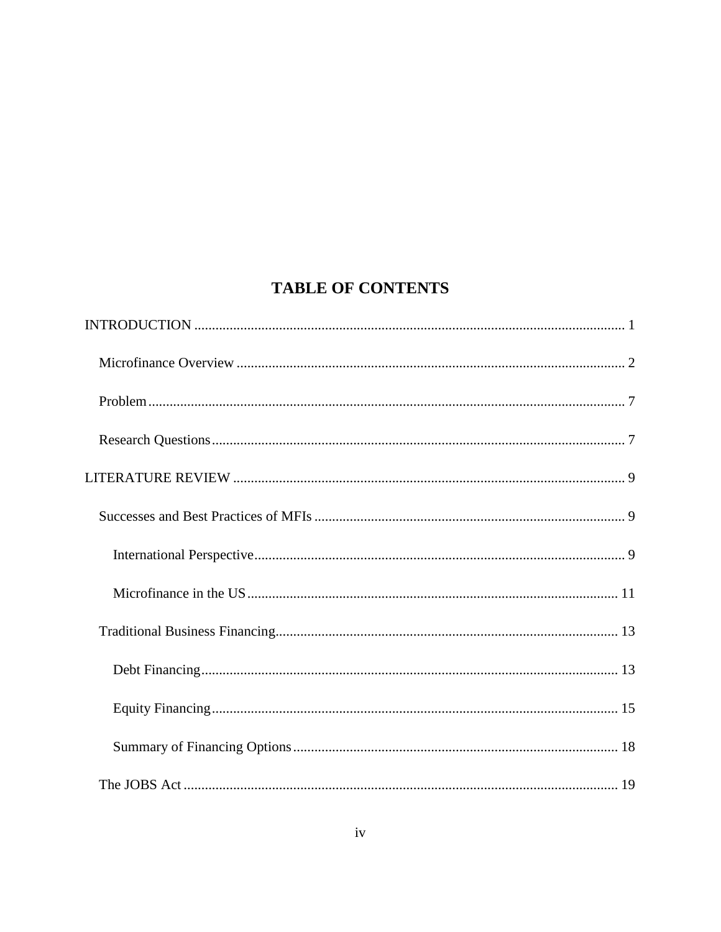# **TABLE OF CONTENTS**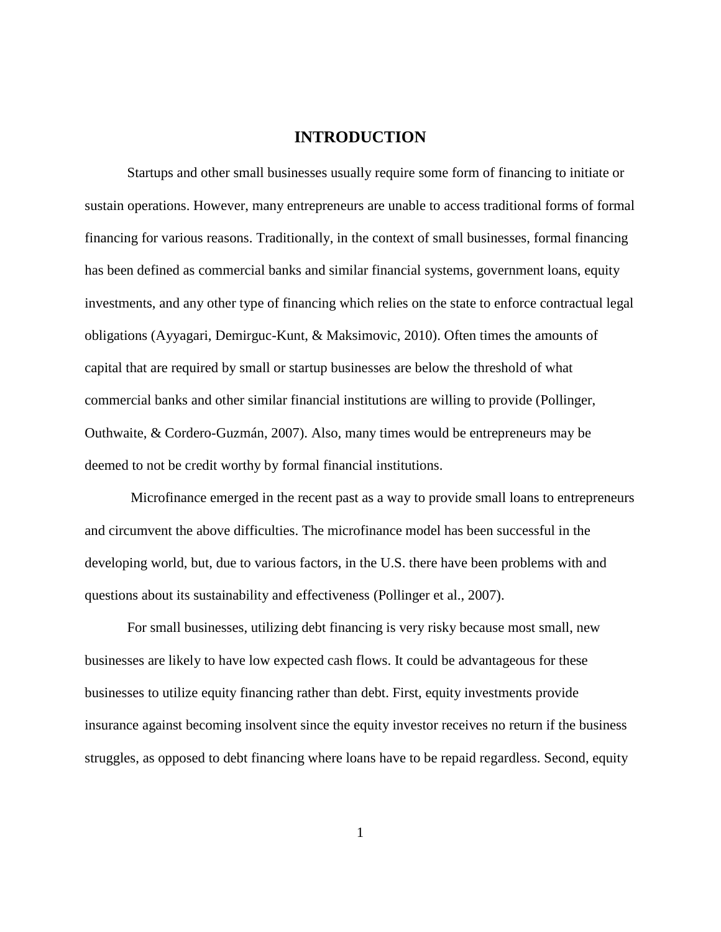# **INTRODUCTION**

<span id="page-6-0"></span>Startups and other small businesses usually require some form of financing to initiate or sustain operations. However, many entrepreneurs are unable to access traditional forms of formal financing for various reasons. Traditionally, in the context of small businesses, formal financing has been defined as commercial banks and similar financial systems, government loans, equity investments, and any other type of financing which relies on the state to enforce contractual legal obligations (Ayyagari, Demirguc-Kunt, & Maksimovic, 2010). Often times the amounts of capital that are required by small or startup businesses are below the threshold of what commercial banks and other similar financial institutions are willing to provide (Pollinger, Outhwaite, & Cordero-Guzmán, 2007). Also, many times would be entrepreneurs may be deemed to not be credit worthy by formal financial institutions.

Microfinance emerged in the recent past as a way to provide small loans to entrepreneurs and circumvent the above difficulties. The microfinance model has been successful in the developing world, but, due to various factors, in the U.S. there have been problems with and questions about its sustainability and effectiveness (Pollinger et al., 2007).

For small businesses, utilizing debt financing is very risky because most small, new businesses are likely to have low expected cash flows. It could be advantageous for these businesses to utilize equity financing rather than debt. First, equity investments provide insurance against becoming insolvent since the equity investor receives no return if the business struggles, as opposed to debt financing where loans have to be repaid regardless. Second, equity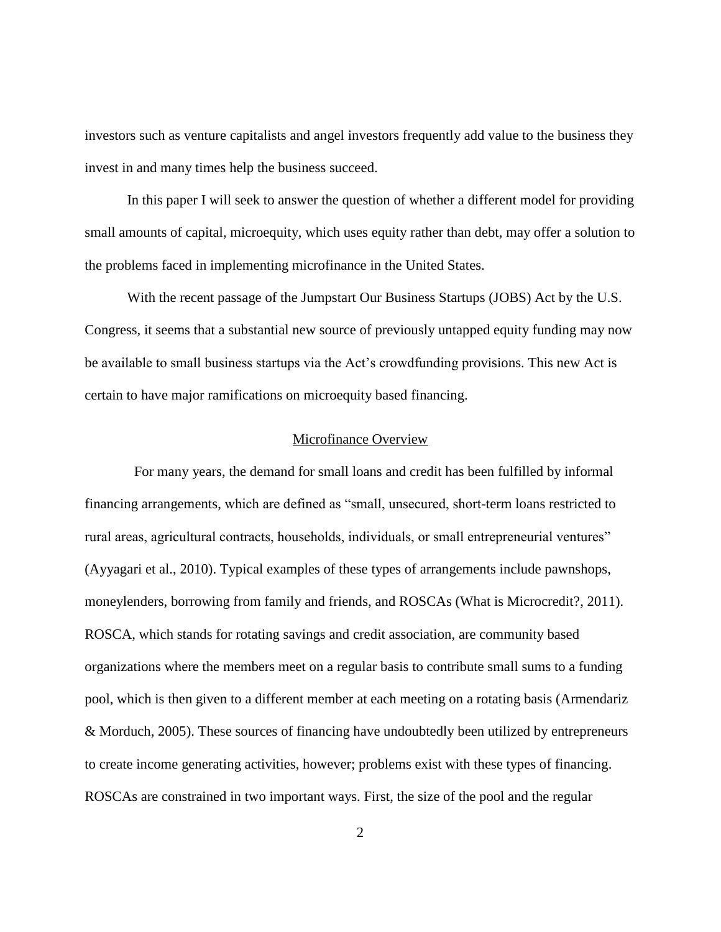investors such as venture capitalists and angel investors frequently add value to the business they invest in and many times help the business succeed.

In this paper I will seek to answer the question of whether a different model for providing small amounts of capital, microequity, which uses equity rather than debt, may offer a solution to the problems faced in implementing microfinance in the United States.

With the recent passage of the Jumpstart Our Business Startups (JOBS) Act by the U.S. Congress, it seems that a substantial new source of previously untapped equity funding may now be available to small business startups via the Act's crowdfunding provisions. This new Act is certain to have major ramifications on microequity based financing.

#### Microfinance Overview

<span id="page-7-0"></span>For many years, the demand for small loans and credit has been fulfilled by informal financing arrangements, which are defined as "small, unsecured, short-term loans restricted to rural areas, agricultural contracts, households, individuals, or small entrepreneurial ventures" (Ayyagari et al., 2010). Typical examples of these types of arrangements include pawnshops, moneylenders, borrowing from family and friends, and ROSCAs (What is Microcredit?, 2011). ROSCA, which stands for rotating savings and credit association, are community based organizations where the members meet on a regular basis to contribute small sums to a funding pool, which is then given to a different member at each meeting on a rotating basis (Armendariz & Morduch, 2005). These sources of financing have undoubtedly been utilized by entrepreneurs to create income generating activities, however; problems exist with these types of financing. ROSCAs are constrained in two important ways. First, the size of the pool and the regular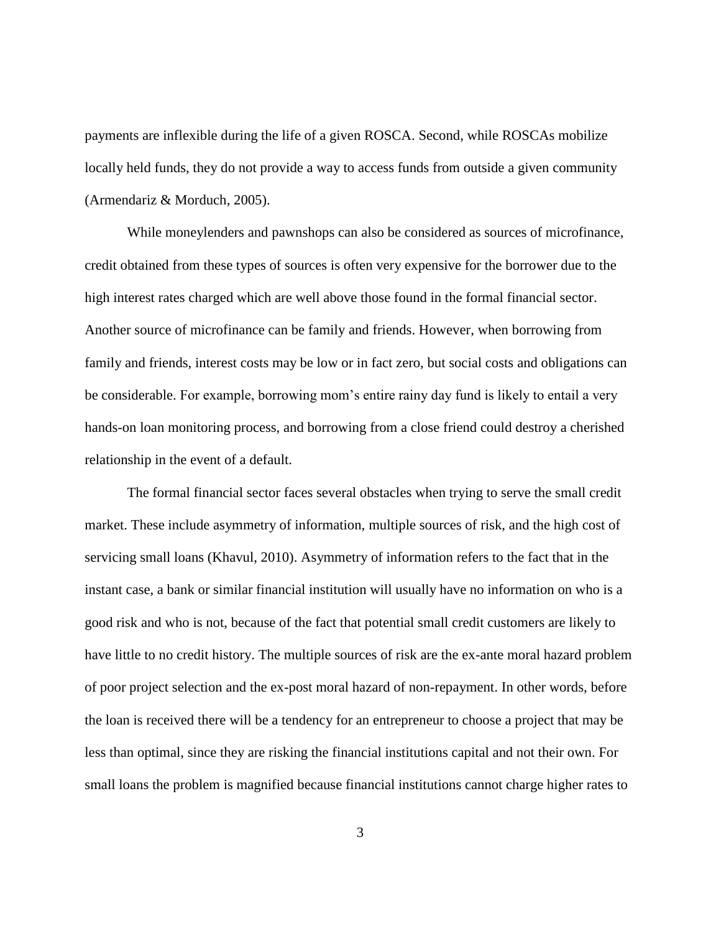payments are inflexible during the life of a given ROSCA. Second, while ROSCAs mobilize locally held funds, they do not provide a way to access funds from outside a given community (Armendariz & Morduch, 2005).

While moneylenders and pawnshops can also be considered as sources of microfinance, credit obtained from these types of sources is often very expensive for the borrower due to the high interest rates charged which are well above those found in the formal financial sector. Another source of microfinance can be family and friends. However, when borrowing from family and friends, interest costs may be low or in fact zero, but social costs and obligations can be considerable. For example, borrowing mom's entire rainy day fund is likely to entail a very hands-on loan monitoring process, and borrowing from a close friend could destroy a cherished relationship in the event of a default.

The formal financial sector faces several obstacles when trying to serve the small credit market. These include asymmetry of information, multiple sources of risk, and the high cost of servicing small loans (Khavul, 2010). Asymmetry of information refers to the fact that in the instant case, a bank or similar financial institution will usually have no information on who is a good risk and who is not, because of the fact that potential small credit customers are likely to have little to no credit history. The multiple sources of risk are the ex-ante moral hazard problem of poor project selection and the ex-post moral hazard of non-repayment. In other words, before the loan is received there will be a tendency for an entrepreneur to choose a project that may be less than optimal, since they are risking the financial institutions capital and not their own. For small loans the problem is magnified because financial institutions cannot charge higher rates to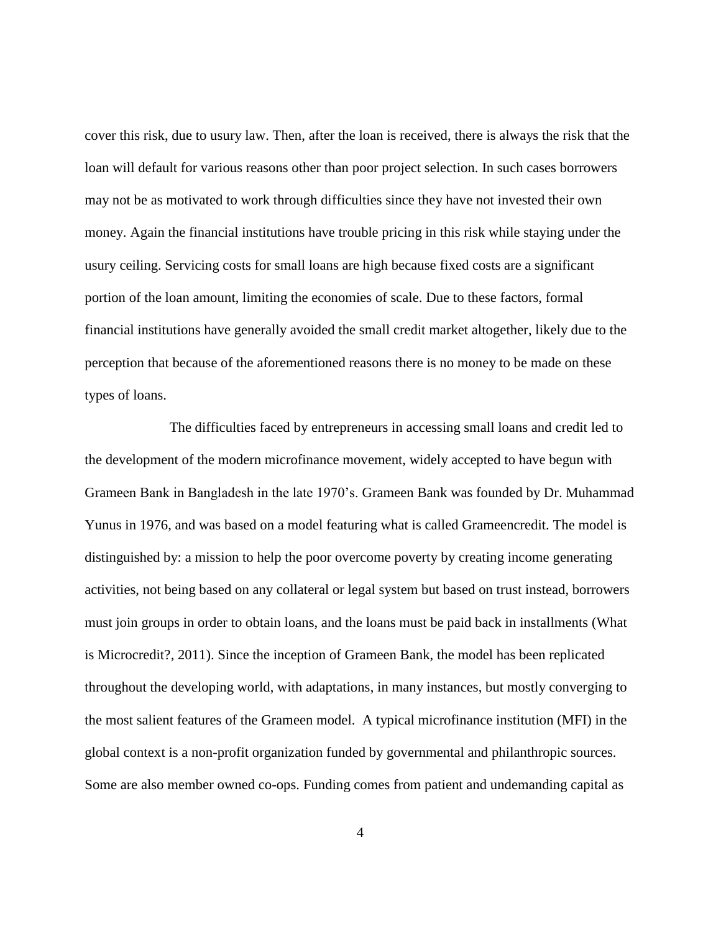cover this risk, due to usury law. Then, after the loan is received, there is always the risk that the loan will default for various reasons other than poor project selection. In such cases borrowers may not be as motivated to work through difficulties since they have not invested their own money. Again the financial institutions have trouble pricing in this risk while staying under the usury ceiling. Servicing costs for small loans are high because fixed costs are a significant portion of the loan amount, limiting the economies of scale. Due to these factors, formal financial institutions have generally avoided the small credit market altogether, likely due to the perception that because of the aforementioned reasons there is no money to be made on these types of loans.

The difficulties faced by entrepreneurs in accessing small loans and credit led to the development of the modern microfinance movement, widely accepted to have begun with Grameen Bank in Bangladesh in the late 1970's. Grameen Bank was founded by Dr. Muhammad Yunus in 1976, and was based on a model featuring what is called Grameencredit. The model is distinguished by: a mission to help the poor overcome poverty by creating income generating activities, not being based on any collateral or legal system but based on trust instead, borrowers must join groups in order to obtain loans, and the loans must be paid back in installments (What is Microcredit?, 2011). Since the inception of Grameen Bank, the model has been replicated throughout the developing world, with adaptations, in many instances, but mostly converging to the most salient features of the Grameen model. A typical microfinance institution (MFI) in the global context is a non-profit organization funded by governmental and philanthropic sources. Some are also member owned co-ops. Funding comes from patient and undemanding capital as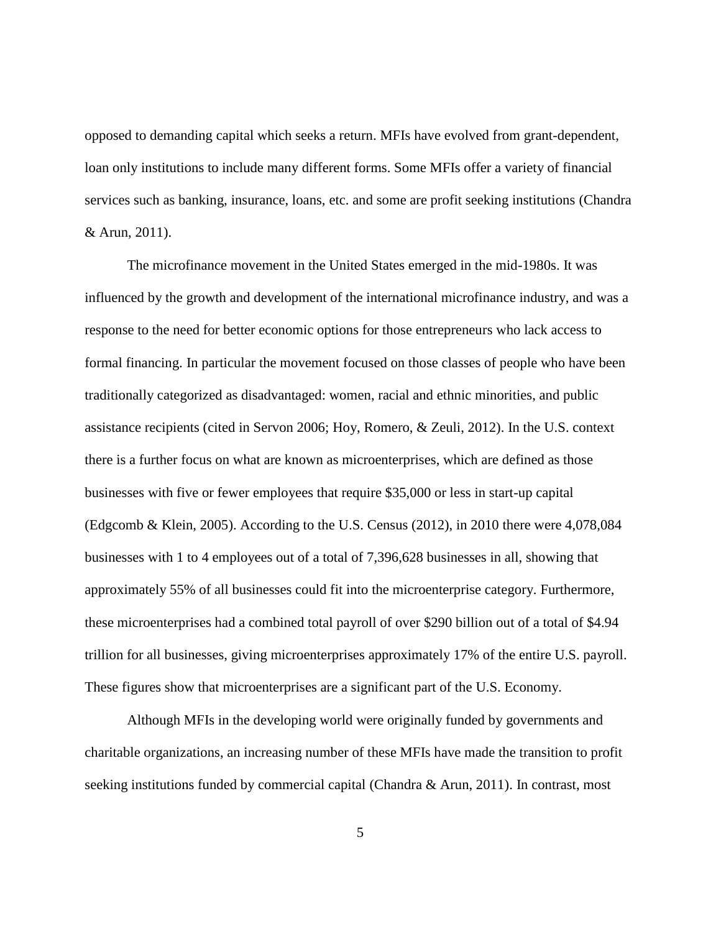opposed to demanding capital which seeks a return. MFIs have evolved from grant-dependent, loan only institutions to include many different forms. Some MFIs offer a variety of financial services such as banking, insurance, loans, etc. and some are profit seeking institutions (Chandra & Arun, 2011).

The microfinance movement in the United States emerged in the mid-1980s. It was influenced by the growth and development of the international microfinance industry, and was a response to the need for better economic options for those entrepreneurs who lack access to formal financing. In particular the movement focused on those classes of people who have been traditionally categorized as disadvantaged: women, racial and ethnic minorities, and public assistance recipients (cited in Servon 2006; Hoy, Romero, & Zeuli, 2012). In the U.S. context there is a further focus on what are known as microenterprises, which are defined as those businesses with five or fewer employees that require \$35,000 or less in start-up capital (Edgcomb & Klein, 2005). According to the U.S. Census (2012), in 2010 there were 4,078,084 businesses with 1 to 4 employees out of a total of 7,396,628 businesses in all, showing that approximately 55% of all businesses could fit into the microenterprise category. Furthermore, these microenterprises had a combined total payroll of over \$290 billion out of a total of \$4.94 trillion for all businesses, giving microenterprises approximately 17% of the entire U.S. payroll. These figures show that microenterprises are a significant part of the U.S. Economy.

Although MFIs in the developing world were originally funded by governments and charitable organizations, an increasing number of these MFIs have made the transition to profit seeking institutions funded by commercial capital (Chandra & Arun, 2011). In contrast, most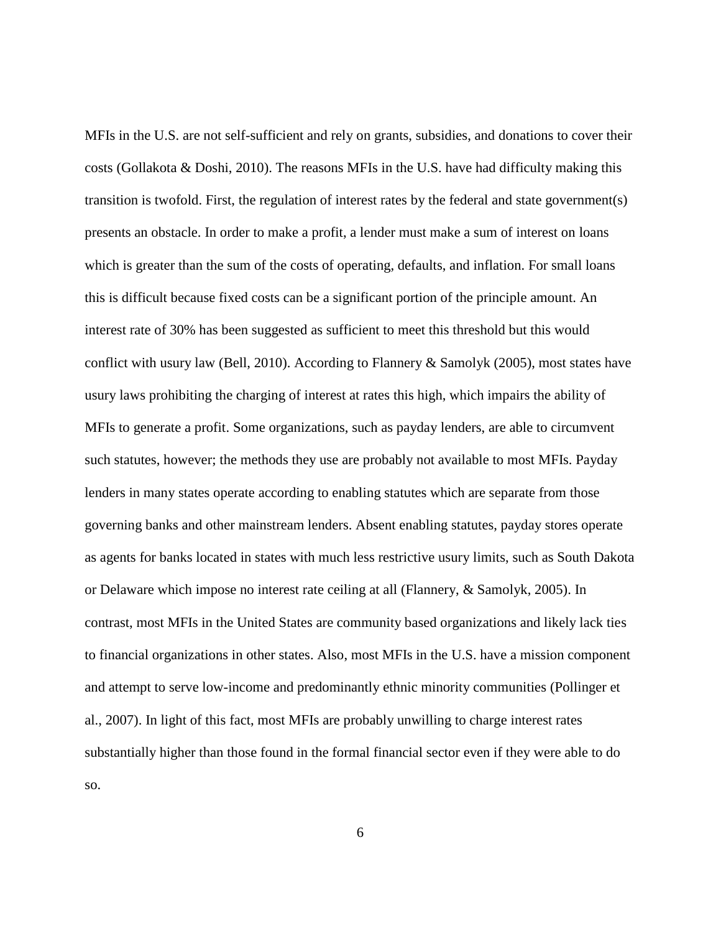MFIs in the U.S. are not self-sufficient and rely on grants, subsidies, and donations to cover their costs (Gollakota & Doshi, 2010). The reasons MFIs in the U.S. have had difficulty making this transition is twofold. First, the regulation of interest rates by the federal and state government(s) presents an obstacle. In order to make a profit, a lender must make a sum of interest on loans which is greater than the sum of the costs of operating, defaults, and inflation. For small loans this is difficult because fixed costs can be a significant portion of the principle amount. An interest rate of 30% has been suggested as sufficient to meet this threshold but this would conflict with usury law (Bell, 2010). According to Flannery & Samolyk (2005), most states have usury laws prohibiting the charging of interest at rates this high, which impairs the ability of MFIs to generate a profit. Some organizations, such as payday lenders, are able to circumvent such statutes, however; the methods they use are probably not available to most MFIs. Payday lenders in many states operate according to enabling statutes which are separate from those governing banks and other mainstream lenders. Absent enabling statutes, payday stores operate as agents for banks located in states with much less restrictive usury limits, such as South Dakota or Delaware which impose no interest rate ceiling at all (Flannery, & Samolyk, 2005). In contrast, most MFIs in the United States are community based organizations and likely lack ties to financial organizations in other states. Also, most MFIs in the U.S. have a mission component and attempt to serve low-income and predominantly ethnic minority communities (Pollinger et al., 2007). In light of this fact, most MFIs are probably unwilling to charge interest rates substantially higher than those found in the formal financial sector even if they were able to do so.

6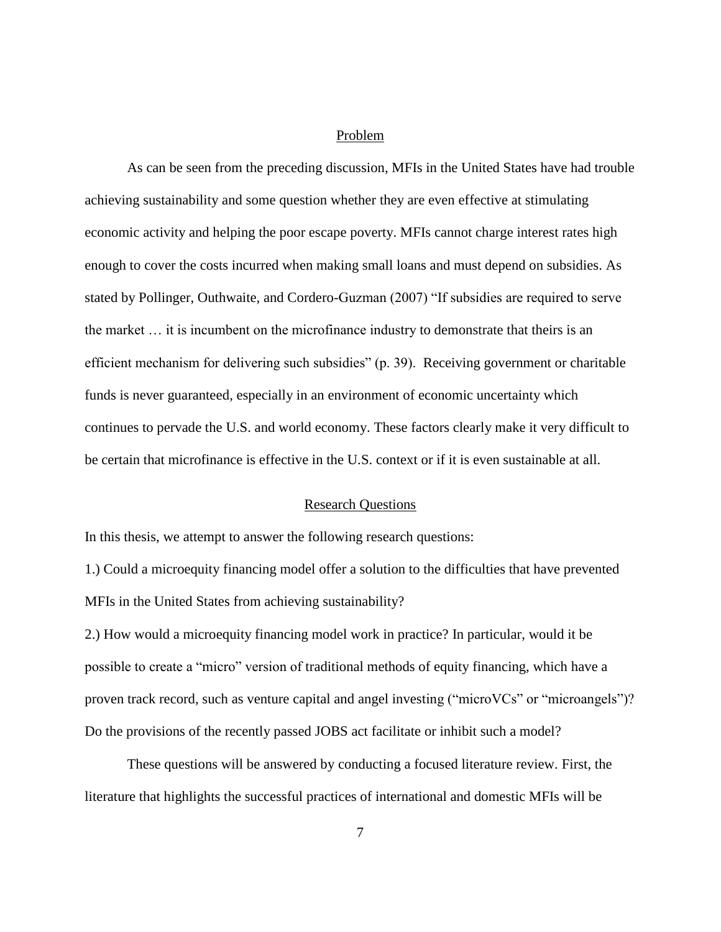#### Problem

<span id="page-12-0"></span>As can be seen from the preceding discussion, MFIs in the United States have had trouble achieving sustainability and some question whether they are even effective at stimulating economic activity and helping the poor escape poverty. MFIs cannot charge interest rates high enough to cover the costs incurred when making small loans and must depend on subsidies. As stated by Pollinger, Outhwaite, and Cordero-Guzman (2007) "If subsidies are required to serve the market … it is incumbent on the microfinance industry to demonstrate that theirs is an efficient mechanism for delivering such subsidies" (p. 39). Receiving government or charitable funds is never guaranteed, especially in an environment of economic uncertainty which continues to pervade the U.S. and world economy. These factors clearly make it very difficult to be certain that microfinance is effective in the U.S. context or if it is even sustainable at all.

## **Research Questions**

<span id="page-12-1"></span>In this thesis, we attempt to answer the following research questions:

1.) Could a microequity financing model offer a solution to the difficulties that have prevented MFIs in the United States from achieving sustainability?

2.) How would a microequity financing model work in practice? In particular, would it be possible to create a "micro" version of traditional methods of equity financing, which have a proven track record, such as venture capital and angel investing ("microVCs" or "microangels")? Do the provisions of the recently passed JOBS act facilitate or inhibit such a model?

These questions will be answered by conducting a focused literature review. First, the literature that highlights the successful practices of international and domestic MFIs will be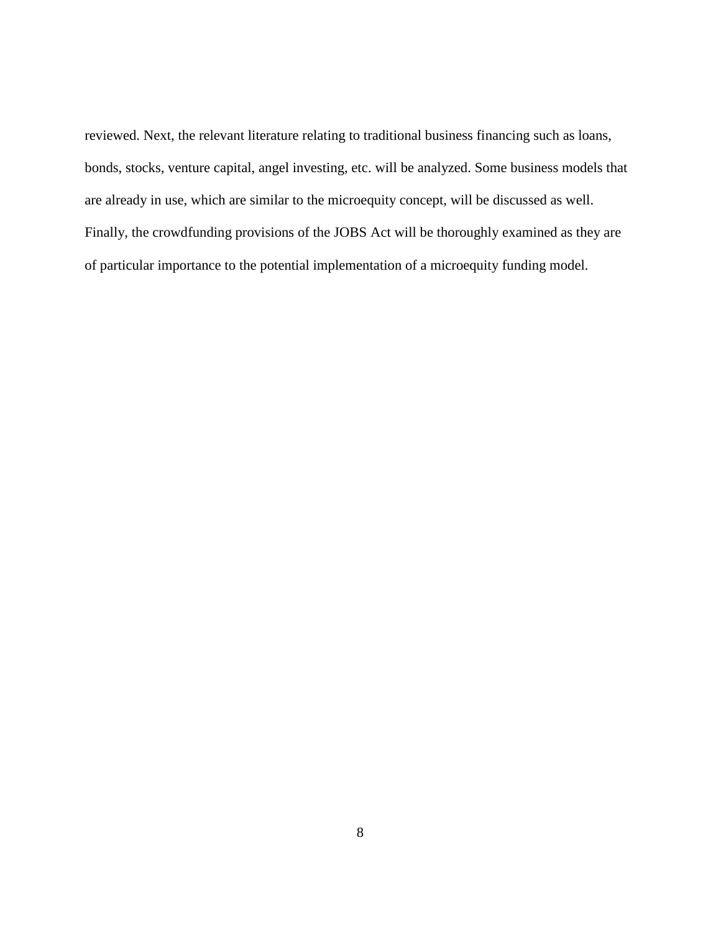reviewed. Next, the relevant literature relating to traditional business financing such as loans, bonds, stocks, venture capital, angel investing, etc. will be analyzed. Some business models that are already in use, which are similar to the microequity concept, will be discussed as well. Finally, the crowdfunding provisions of the JOBS Act will be thoroughly examined as they are of particular importance to the potential implementation of a microequity funding model.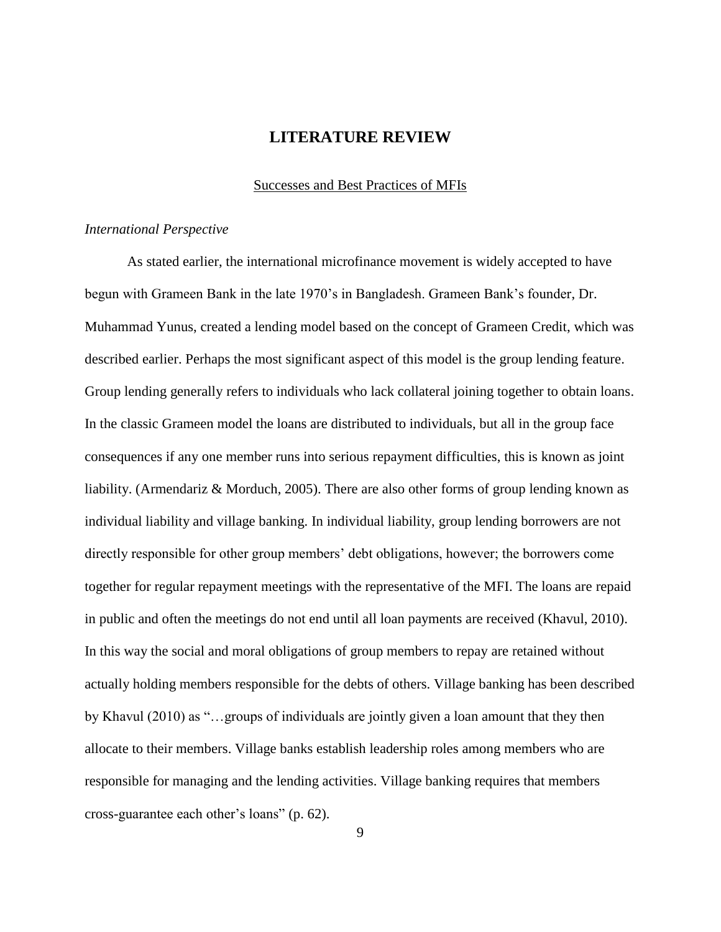# **LITERATURE REVIEW**

#### Successes and Best Practices of MFIs

#### <span id="page-14-2"></span><span id="page-14-1"></span><span id="page-14-0"></span>*International Perspective*

As stated earlier, the international microfinance movement is widely accepted to have begun with Grameen Bank in the late 1970's in Bangladesh. Grameen Bank's founder, Dr. Muhammad Yunus, created a lending model based on the concept of Grameen Credit, which was described earlier. Perhaps the most significant aspect of this model is the group lending feature. Group lending generally refers to individuals who lack collateral joining together to obtain loans. In the classic Grameen model the loans are distributed to individuals, but all in the group face consequences if any one member runs into serious repayment difficulties, this is known as joint liability. (Armendariz & Morduch, 2005). There are also other forms of group lending known as individual liability and village banking. In individual liability, group lending borrowers are not directly responsible for other group members' debt obligations, however; the borrowers come together for regular repayment meetings with the representative of the MFI. The loans are repaid in public and often the meetings do not end until all loan payments are received (Khavul, 2010). In this way the social and moral obligations of group members to repay are retained without actually holding members responsible for the debts of others. Village banking has been described by Khavul (2010) as "…groups of individuals are jointly given a loan amount that they then allocate to their members. Village banks establish leadership roles among members who are responsible for managing and the lending activities. Village banking requires that members cross-guarantee each other's loans" (p. 62).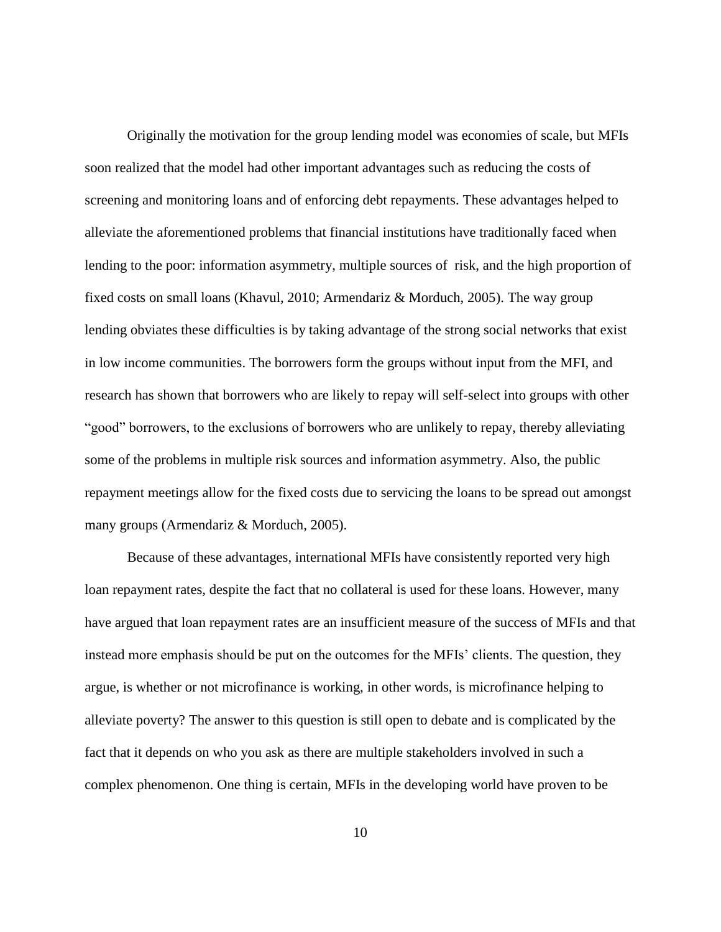Originally the motivation for the group lending model was economies of scale, but MFIs soon realized that the model had other important advantages such as reducing the costs of screening and monitoring loans and of enforcing debt repayments. These advantages helped to alleviate the aforementioned problems that financial institutions have traditionally faced when lending to the poor: information asymmetry, multiple sources of risk, and the high proportion of fixed costs on small loans (Khavul, 2010; Armendariz & Morduch, 2005). The way group lending obviates these difficulties is by taking advantage of the strong social networks that exist in low income communities. The borrowers form the groups without input from the MFI, and research has shown that borrowers who are likely to repay will self-select into groups with other "good" borrowers, to the exclusions of borrowers who are unlikely to repay, thereby alleviating some of the problems in multiple risk sources and information asymmetry. Also, the public repayment meetings allow for the fixed costs due to servicing the loans to be spread out amongst many groups (Armendariz & Morduch, 2005).

Because of these advantages, international MFIs have consistently reported very high loan repayment rates, despite the fact that no collateral is used for these loans. However, many have argued that loan repayment rates are an insufficient measure of the success of MFIs and that instead more emphasis should be put on the outcomes for the MFIs' clients. The question, they argue, is whether or not microfinance is working, in other words, is microfinance helping to alleviate poverty? The answer to this question is still open to debate and is complicated by the fact that it depends on who you ask as there are multiple stakeholders involved in such a complex phenomenon. One thing is certain, MFIs in the developing world have proven to be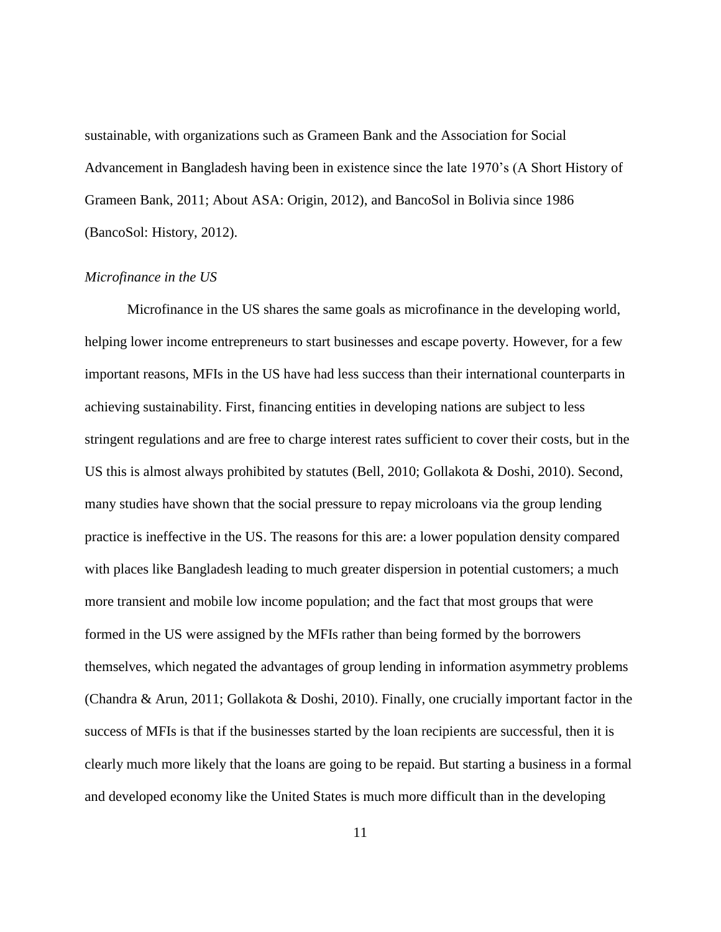sustainable, with organizations such as Grameen Bank and the Association for Social Advancement in Bangladesh having been in existence since the late 1970's (A Short History of Grameen Bank, 2011; About ASA: Origin, 2012), and BancoSol in Bolivia since 1986 (BancoSol: History, 2012).

#### <span id="page-16-0"></span>*Microfinance in the US*

Microfinance in the US shares the same goals as microfinance in the developing world, helping lower income entrepreneurs to start businesses and escape poverty. However, for a few important reasons, MFIs in the US have had less success than their international counterparts in achieving sustainability. First, financing entities in developing nations are subject to less stringent regulations and are free to charge interest rates sufficient to cover their costs, but in the US this is almost always prohibited by statutes (Bell, 2010; Gollakota & Doshi, 2010). Second, many studies have shown that the social pressure to repay microloans via the group lending practice is ineffective in the US. The reasons for this are: a lower population density compared with places like Bangladesh leading to much greater dispersion in potential customers; a much more transient and mobile low income population; and the fact that most groups that were formed in the US were assigned by the MFIs rather than being formed by the borrowers themselves, which negated the advantages of group lending in information asymmetry problems (Chandra & Arun, 2011; Gollakota & Doshi, 2010). Finally, one crucially important factor in the success of MFIs is that if the businesses started by the loan recipients are successful, then it is clearly much more likely that the loans are going to be repaid. But starting a business in a formal and developed economy like the United States is much more difficult than in the developing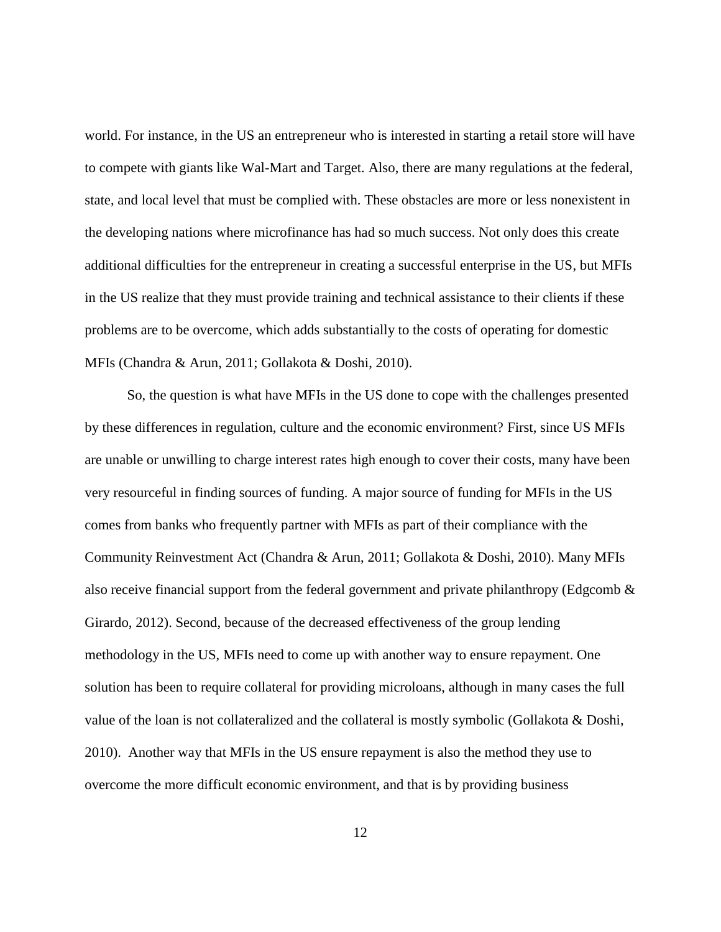world. For instance, in the US an entrepreneur who is interested in starting a retail store will have to compete with giants like Wal-Mart and Target. Also, there are many regulations at the federal, state, and local level that must be complied with. These obstacles are more or less nonexistent in the developing nations where microfinance has had so much success. Not only does this create additional difficulties for the entrepreneur in creating a successful enterprise in the US, but MFIs in the US realize that they must provide training and technical assistance to their clients if these problems are to be overcome, which adds substantially to the costs of operating for domestic MFIs (Chandra & Arun, 2011; Gollakota & Doshi, 2010).

So, the question is what have MFIs in the US done to cope with the challenges presented by these differences in regulation, culture and the economic environment? First, since US MFIs are unable or unwilling to charge interest rates high enough to cover their costs, many have been very resourceful in finding sources of funding. A major source of funding for MFIs in the US comes from banks who frequently partner with MFIs as part of their compliance with the Community Reinvestment Act (Chandra & Arun, 2011; Gollakota & Doshi, 2010). Many MFIs also receive financial support from the federal government and private philanthropy (Edgcomb  $\&$ Girardo, 2012). Second, because of the decreased effectiveness of the group lending methodology in the US, MFIs need to come up with another way to ensure repayment. One solution has been to require collateral for providing microloans, although in many cases the full value of the loan is not collateralized and the collateral is mostly symbolic (Gollakota & Doshi, 2010). Another way that MFIs in the US ensure repayment is also the method they use to overcome the more difficult economic environment, and that is by providing business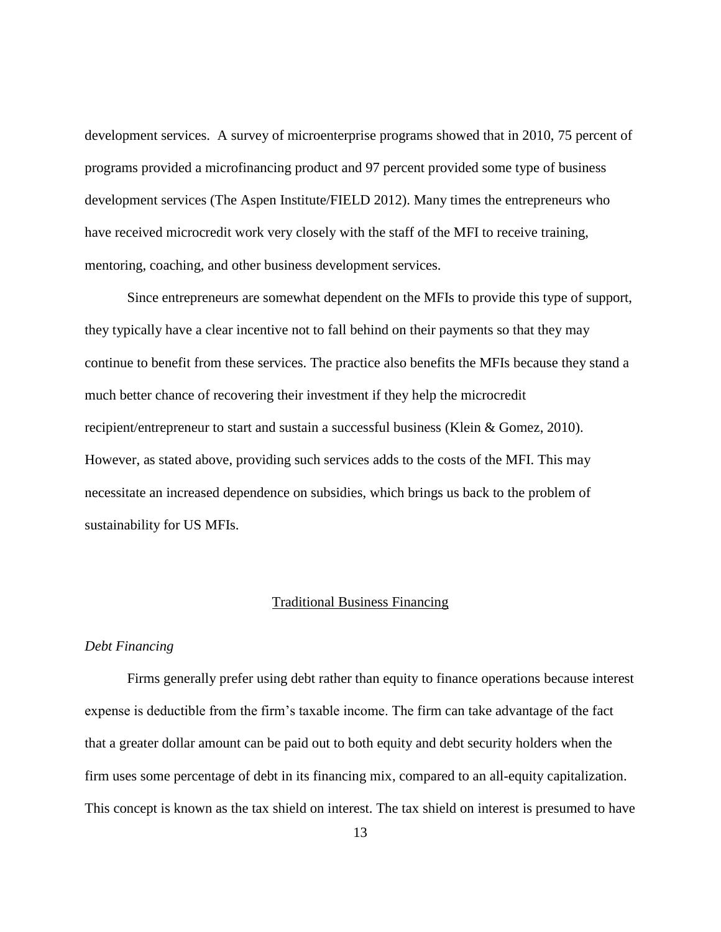development services. A survey of microenterprise programs showed that in 2010, 75 percent of programs provided a microfinancing product and 97 percent provided some type of business development services (The Aspen Institute/FIELD 2012). Many times the entrepreneurs who have received microcredit work very closely with the staff of the MFI to receive training, mentoring, coaching, and other business development services.

Since entrepreneurs are somewhat dependent on the MFIs to provide this type of support, they typically have a clear incentive not to fall behind on their payments so that they may continue to benefit from these services. The practice also benefits the MFIs because they stand a much better chance of recovering their investment if they help the microcredit recipient/entrepreneur to start and sustain a successful business (Klein & Gomez, 2010). However, as stated above, providing such services adds to the costs of the MFI. This may necessitate an increased dependence on subsidies, which brings us back to the problem of sustainability for US MFIs.

#### Traditional Business Financing

#### <span id="page-18-1"></span><span id="page-18-0"></span>*Debt Financing*

Firms generally prefer using debt rather than equity to finance operations because interest expense is deductible from the firm's taxable income. The firm can take advantage of the fact that a greater dollar amount can be paid out to both equity and debt security holders when the firm uses some percentage of debt in its financing mix, compared to an all-equity capitalization. This concept is known as the tax shield on interest. The tax shield on interest is presumed to have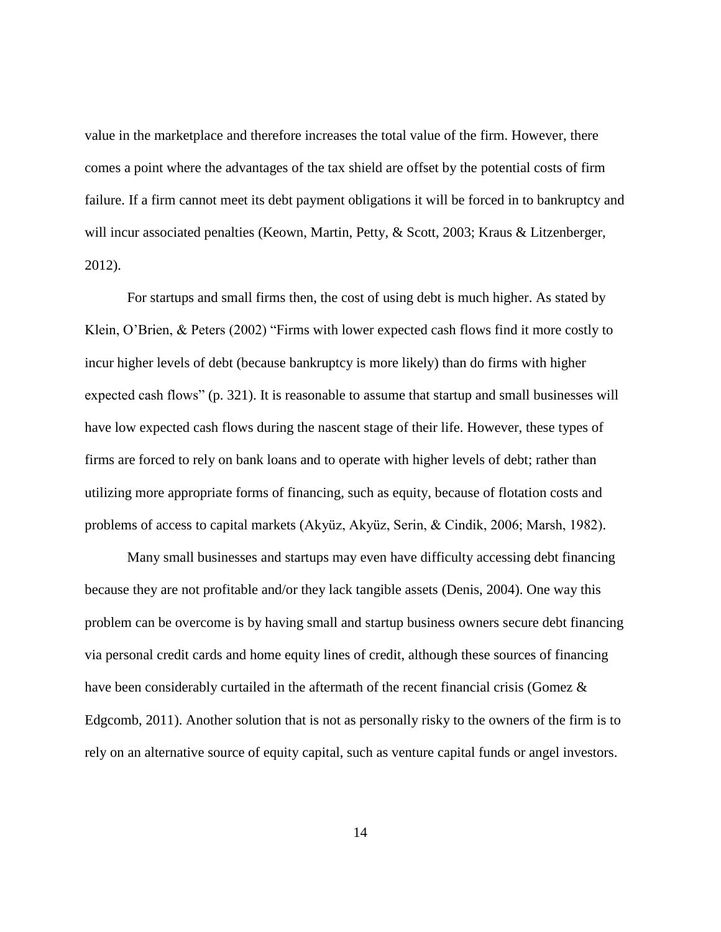value in the marketplace and therefore increases the total value of the firm. However, there comes a point where the advantages of the tax shield are offset by the potential costs of firm failure. If a firm cannot meet its debt payment obligations it will be forced in to bankruptcy and will incur associated penalties (Keown, Martin, Petty, & Scott, 2003; Kraus & Litzenberger, 2012).

For startups and small firms then, the cost of using debt is much higher. As stated by Klein, O'Brien, & Peters (2002) "Firms with lower expected cash flows find it more costly to incur higher levels of debt (because bankruptcy is more likely) than do firms with higher expected cash flows" (p. 321). It is reasonable to assume that startup and small businesses will have low expected cash flows during the nascent stage of their life. However, these types of firms are forced to rely on bank loans and to operate with higher levels of debt; rather than utilizing more appropriate forms of financing, such as equity, because of flotation costs and problems of access to capital markets (Akyüz, Akyüz, Serіn, & Cindik, 2006; Marsh, 1982).

Many small businesses and startups may even have difficulty accessing debt financing because they are not profitable and/or they lack tangible assets (Denis, 2004). One way this problem can be overcome is by having small and startup business owners secure debt financing via personal credit cards and home equity lines of credit, although these sources of financing have been considerably curtailed in the aftermath of the recent financial crisis (Gomez & Edgcomb, 2011). Another solution that is not as personally risky to the owners of the firm is to rely on an alternative source of equity capital, such as venture capital funds or angel investors.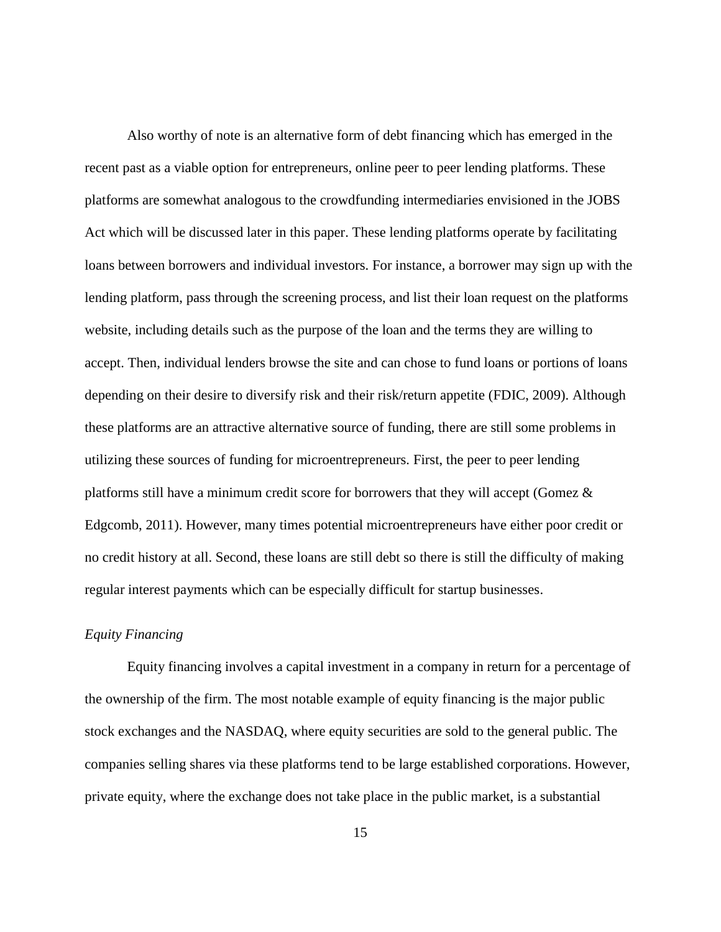Also worthy of note is an alternative form of debt financing which has emerged in the recent past as a viable option for entrepreneurs, online peer to peer lending platforms. These platforms are somewhat analogous to the crowdfunding intermediaries envisioned in the JOBS Act which will be discussed later in this paper. These lending platforms operate by facilitating loans between borrowers and individual investors. For instance, a borrower may sign up with the lending platform, pass through the screening process, and list their loan request on the platforms website, including details such as the purpose of the loan and the terms they are willing to accept. Then, individual lenders browse the site and can chose to fund loans or portions of loans depending on their desire to diversify risk and their risk/return appetite (FDIC, 2009). Although these platforms are an attractive alternative source of funding, there are still some problems in utilizing these sources of funding for microentrepreneurs. First, the peer to peer lending platforms still have a minimum credit score for borrowers that they will accept (Gomez & Edgcomb, 2011). However, many times potential microentrepreneurs have either poor credit or no credit history at all. Second, these loans are still debt so there is still the difficulty of making regular interest payments which can be especially difficult for startup businesses.

#### <span id="page-20-0"></span>*Equity Financing*

Equity financing involves a capital investment in a company in return for a percentage of the ownership of the firm. The most notable example of equity financing is the major public stock exchanges and the NASDAQ, where equity securities are sold to the general public. The companies selling shares via these platforms tend to be large established corporations. However, private equity, where the exchange does not take place in the public market, is a substantial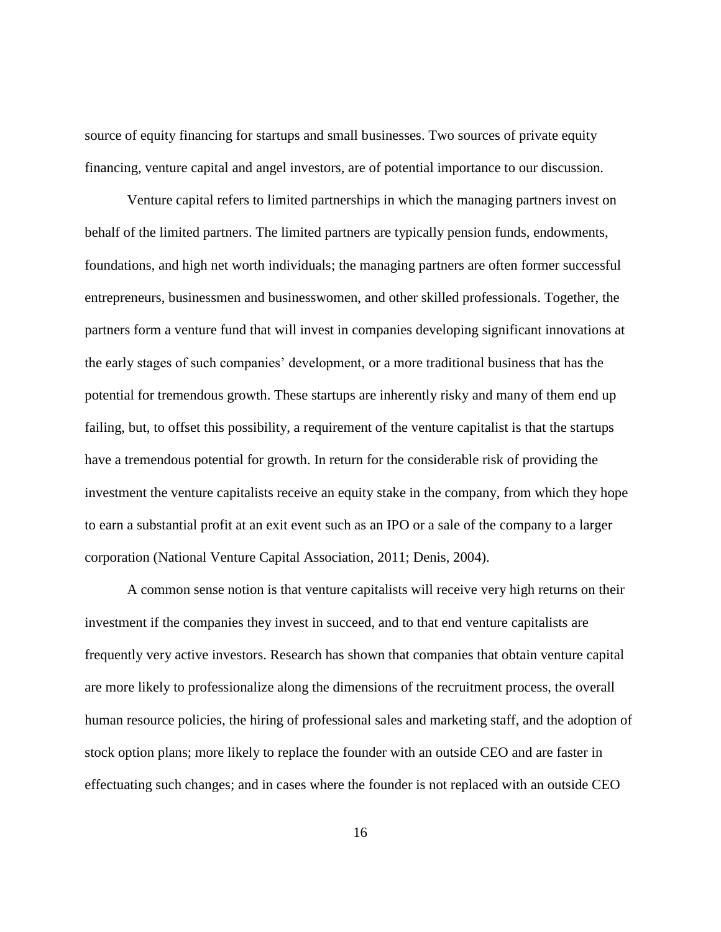source of equity financing for startups and small businesses. Two sources of private equity financing, venture capital and angel investors, are of potential importance to our discussion.

Venture capital refers to limited partnerships in which the managing partners invest on behalf of the limited partners. The limited partners are typically pension funds, endowments, foundations, and high net worth individuals; the managing partners are often former successful entrepreneurs, businessmen and businesswomen, and other skilled professionals. Together, the partners form a venture fund that will invest in companies developing significant innovations at the early stages of such companies' development, or a more traditional business that has the potential for tremendous growth. These startups are inherently risky and many of them end up failing, but, to offset this possibility, a requirement of the venture capitalist is that the startups have a tremendous potential for growth. In return for the considerable risk of providing the investment the venture capitalists receive an equity stake in the company, from which they hope to earn a substantial profit at an exit event such as an IPO or a sale of the company to a larger corporation (National Venture Capital Association, 2011; Denis, 2004).

A common sense notion is that venture capitalists will receive very high returns on their investment if the companies they invest in succeed, and to that end venture capitalists are frequently very active investors. Research has shown that companies that obtain venture capital are more likely to professionalize along the dimensions of the recruitment process, the overall human resource policies, the hiring of professional sales and marketing staff, and the adoption of stock option plans; more likely to replace the founder with an outside CEO and are faster in effectuating such changes; and in cases where the founder is not replaced with an outside CEO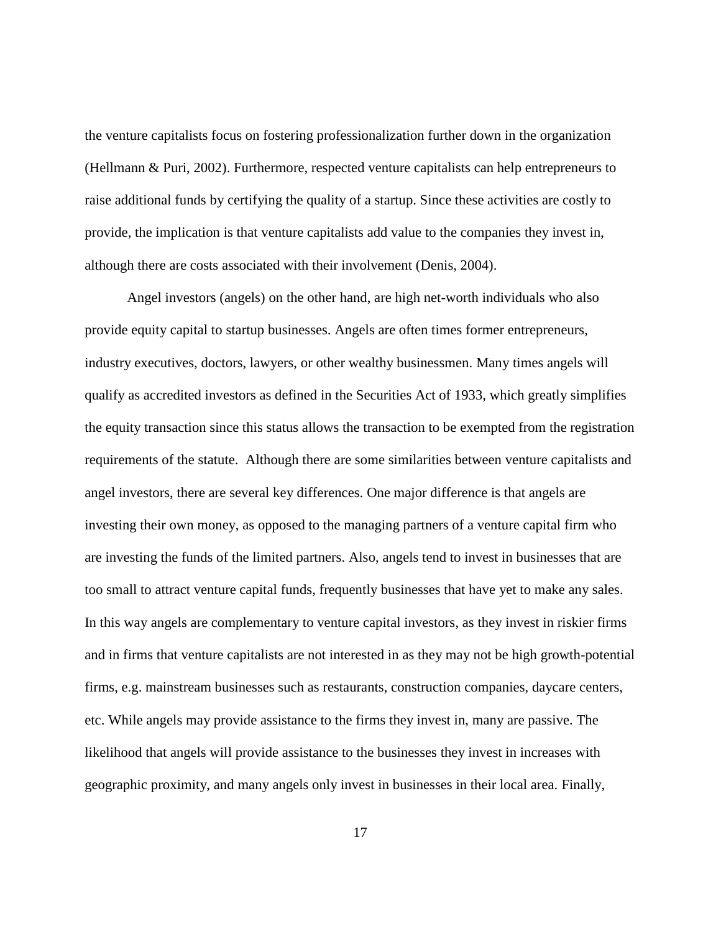the venture capitalists focus on fostering professionalization further down in the organization (Hellmann & Puri, 2002). Furthermore, respected venture capitalists can help entrepreneurs to raise additional funds by certifying the quality of a startup. Since these activities are costly to provide, the implication is that venture capitalists add value to the companies they invest in, although there are costs associated with their involvement (Denis, 2004).

Angel investors (angels) on the other hand, are high net-worth individuals who also provide equity capital to startup businesses. Angels are often times former entrepreneurs, industry executives, doctors, lawyers, or other wealthy businessmen. Many times angels will qualify as accredited investors as defined in the Securities Act of 1933, which greatly simplifies the equity transaction since this status allows the transaction to be exempted from the registration requirements of the statute. Although there are some similarities between venture capitalists and angel investors, there are several key differences. One major difference is that angels are investing their own money, as opposed to the managing partners of a venture capital firm who are investing the funds of the limited partners. Also, angels tend to invest in businesses that are too small to attract venture capital funds, frequently businesses that have yet to make any sales. In this way angels are complementary to venture capital investors, as they invest in riskier firms and in firms that venture capitalists are not interested in as they may not be high growth-potential firms, e.g. mainstream businesses such as restaurants, construction companies, daycare centers, etc. While angels may provide assistance to the firms they invest in, many are passive. The likelihood that angels will provide assistance to the businesses they invest in increases with geographic proximity, and many angels only invest in businesses in their local area. Finally,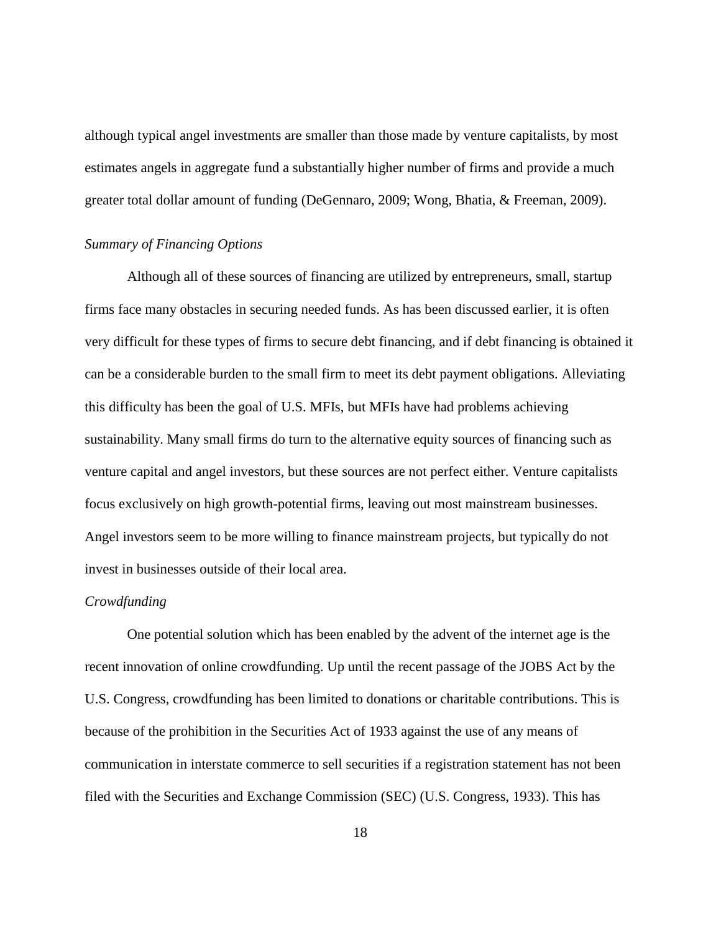although typical angel investments are smaller than those made by venture capitalists, by most estimates angels in aggregate fund a substantially higher number of firms and provide a much greater total dollar amount of funding (DeGennaro, 2009; Wong, Bhatia, & Freeman, 2009).

#### <span id="page-23-0"></span>*Summary of Financing Options*

Although all of these sources of financing are utilized by entrepreneurs, small, startup firms face many obstacles in securing needed funds. As has been discussed earlier, it is often very difficult for these types of firms to secure debt financing, and if debt financing is obtained it can be a considerable burden to the small firm to meet its debt payment obligations. Alleviating this difficulty has been the goal of U.S. MFIs, but MFIs have had problems achieving sustainability. Many small firms do turn to the alternative equity sources of financing such as venture capital and angel investors, but these sources are not perfect either. Venture capitalists focus exclusively on high growth-potential firms, leaving out most mainstream businesses. Angel investors seem to be more willing to finance mainstream projects, but typically do not invest in businesses outside of their local area.

#### *Crowdfunding*

One potential solution which has been enabled by the advent of the internet age is the recent innovation of online crowdfunding. Up until the recent passage of the JOBS Act by the U.S. Congress, crowdfunding has been limited to donations or charitable contributions. This is because of the prohibition in the Securities Act of 1933 against the use of any means of communication in interstate commerce to sell securities if a registration statement has not been filed with the Securities and Exchange Commission (SEC) (U.S. Congress, 1933). This has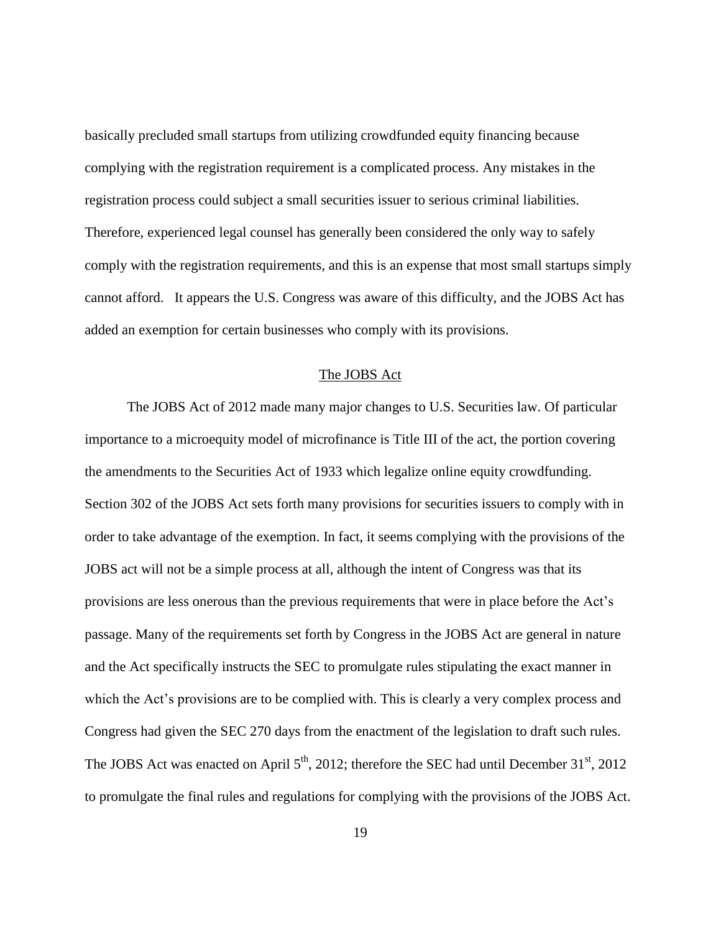basically precluded small startups from utilizing crowdfunded equity financing because complying with the registration requirement is a complicated process. Any mistakes in the registration process could subject a small securities issuer to serious criminal liabilities. Therefore, experienced legal counsel has generally been considered the only way to safely comply with the registration requirements, and this is an expense that most small startups simply cannot afford. It appears the U.S. Congress was aware of this difficulty, and the JOBS Act has added an exemption for certain businesses who comply with its provisions.

# The JOBS Act

<span id="page-24-0"></span>The JOBS Act of 2012 made many major changes to U.S. Securities law. Of particular importance to a microequity model of microfinance is Title III of the act, the portion covering the amendments to the Securities Act of 1933 which legalize online equity crowdfunding. Section 302 of the JOBS Act sets forth many provisions for securities issuers to comply with in order to take advantage of the exemption. In fact, it seems complying with the provisions of the JOBS act will not be a simple process at all, although the intent of Congress was that its provisions are less onerous than the previous requirements that were in place before the Act's passage. Many of the requirements set forth by Congress in the JOBS Act are general in nature and the Act specifically instructs the SEC to promulgate rules stipulating the exact manner in which the Act's provisions are to be complied with. This is clearly a very complex process and Congress had given the SEC 270 days from the enactment of the legislation to draft such rules. The JOBS Act was enacted on April  $5<sup>th</sup>$ , 2012; therefore the SEC had until December 31<sup>st</sup>, 2012 to promulgate the final rules and regulations for complying with the provisions of the JOBS Act.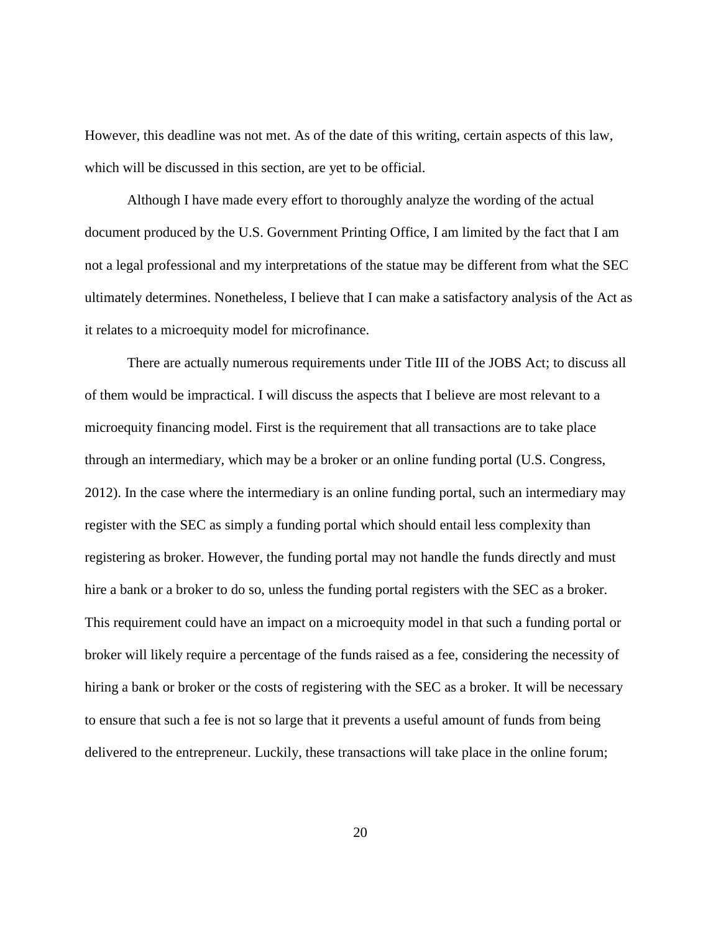However, this deadline was not met. As of the date of this writing, certain aspects of this law, which will be discussed in this section, are yet to be official.

Although I have made every effort to thoroughly analyze the wording of the actual document produced by the U.S. Government Printing Office, I am limited by the fact that I am not a legal professional and my interpretations of the statue may be different from what the SEC ultimately determines. Nonetheless, I believe that I can make a satisfactory analysis of the Act as it relates to a microequity model for microfinance.

There are actually numerous requirements under Title III of the JOBS Act; to discuss all of them would be impractical. I will discuss the aspects that I believe are most relevant to a microequity financing model. First is the requirement that all transactions are to take place through an intermediary, which may be a broker or an online funding portal (U.S. Congress, 2012). In the case where the intermediary is an online funding portal, such an intermediary may register with the SEC as simply a funding portal which should entail less complexity than registering as broker. However, the funding portal may not handle the funds directly and must hire a bank or a broker to do so, unless the funding portal registers with the SEC as a broker. This requirement could have an impact on a microequity model in that such a funding portal or broker will likely require a percentage of the funds raised as a fee, considering the necessity of hiring a bank or broker or the costs of registering with the SEC as a broker. It will be necessary to ensure that such a fee is not so large that it prevents a useful amount of funds from being delivered to the entrepreneur. Luckily, these transactions will take place in the online forum;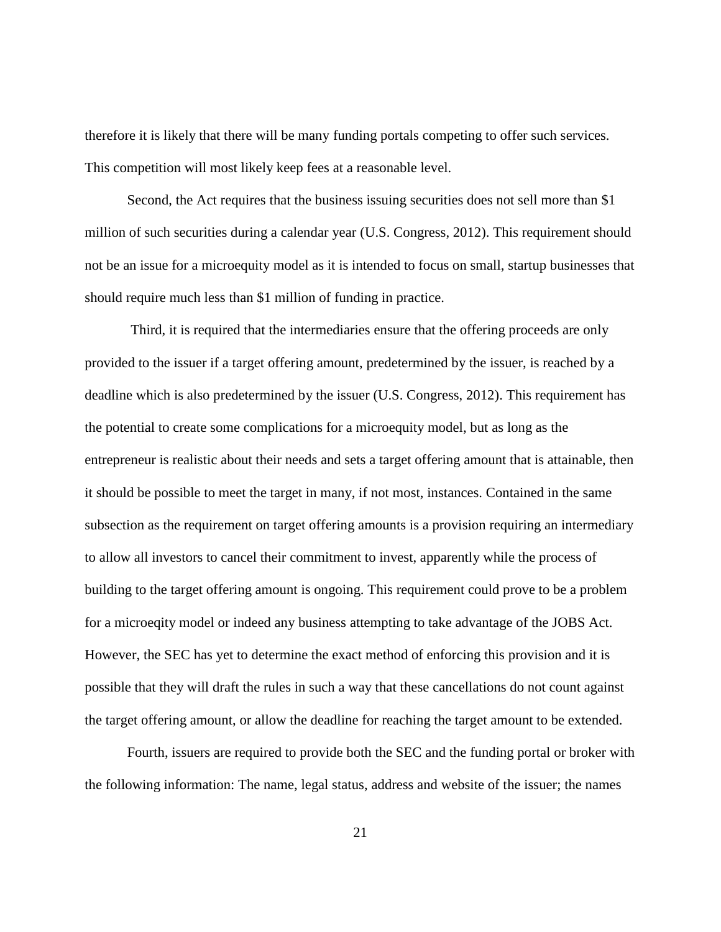therefore it is likely that there will be many funding portals competing to offer such services. This competition will most likely keep fees at a reasonable level.

Second, the Act requires that the business issuing securities does not sell more than \$1 million of such securities during a calendar year (U.S. Congress, 2012). This requirement should not be an issue for a microequity model as it is intended to focus on small, startup businesses that should require much less than \$1 million of funding in practice.

Third, it is required that the intermediaries ensure that the offering proceeds are only provided to the issuer if a target offering amount, predetermined by the issuer, is reached by a deadline which is also predetermined by the issuer (U.S. Congress, 2012). This requirement has the potential to create some complications for a microequity model, but as long as the entrepreneur is realistic about their needs and sets a target offering amount that is attainable, then it should be possible to meet the target in many, if not most, instances. Contained in the same subsection as the requirement on target offering amounts is a provision requiring an intermediary to allow all investors to cancel their commitment to invest, apparently while the process of building to the target offering amount is ongoing. This requirement could prove to be a problem for a microeqity model or indeed any business attempting to take advantage of the JOBS Act. However, the SEC has yet to determine the exact method of enforcing this provision and it is possible that they will draft the rules in such a way that these cancellations do not count against the target offering amount, or allow the deadline for reaching the target amount to be extended.

Fourth, issuers are required to provide both the SEC and the funding portal or broker with the following information: The name, legal status, address and website of the issuer; the names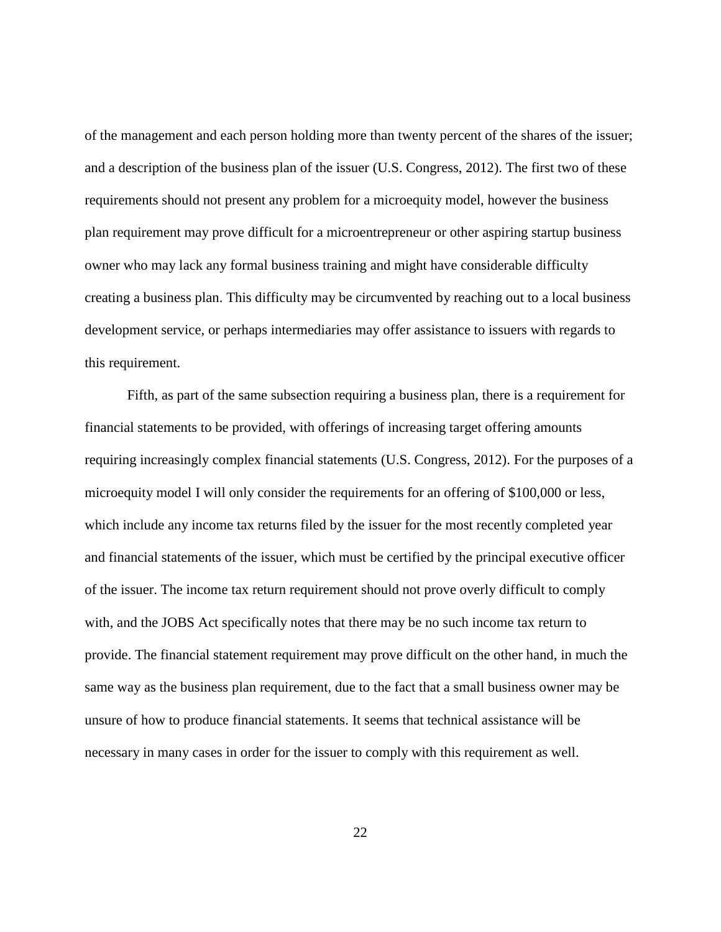of the management and each person holding more than twenty percent of the shares of the issuer; and a description of the business plan of the issuer (U.S. Congress, 2012). The first two of these requirements should not present any problem for a microequity model, however the business plan requirement may prove difficult for a microentrepreneur or other aspiring startup business owner who may lack any formal business training and might have considerable difficulty creating a business plan. This difficulty may be circumvented by reaching out to a local business development service, or perhaps intermediaries may offer assistance to issuers with regards to this requirement.

Fifth, as part of the same subsection requiring a business plan, there is a requirement for financial statements to be provided, with offerings of increasing target offering amounts requiring increasingly complex financial statements (U.S. Congress, 2012). For the purposes of a microequity model I will only consider the requirements for an offering of \$100,000 or less, which include any income tax returns filed by the issuer for the most recently completed year and financial statements of the issuer, which must be certified by the principal executive officer of the issuer. The income tax return requirement should not prove overly difficult to comply with, and the JOBS Act specifically notes that there may be no such income tax return to provide. The financial statement requirement may prove difficult on the other hand, in much the same way as the business plan requirement, due to the fact that a small business owner may be unsure of how to produce financial statements. It seems that technical assistance will be necessary in many cases in order for the issuer to comply with this requirement as well.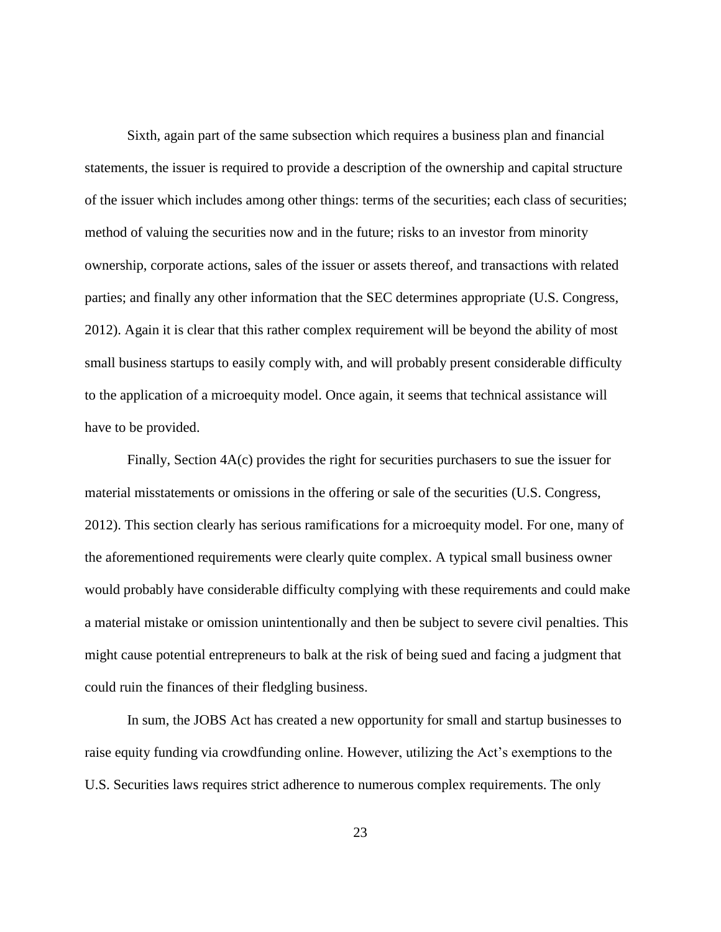Sixth, again part of the same subsection which requires a business plan and financial statements, the issuer is required to provide a description of the ownership and capital structure of the issuer which includes among other things: terms of the securities; each class of securities; method of valuing the securities now and in the future; risks to an investor from minority ownership, corporate actions, sales of the issuer or assets thereof, and transactions with related parties; and finally any other information that the SEC determines appropriate (U.S. Congress, 2012). Again it is clear that this rather complex requirement will be beyond the ability of most small business startups to easily comply with, and will probably present considerable difficulty to the application of a microequity model. Once again, it seems that technical assistance will have to be provided.

Finally, Section 4A(c) provides the right for securities purchasers to sue the issuer for material misstatements or omissions in the offering or sale of the securities (U.S. Congress, 2012). This section clearly has serious ramifications for a microequity model. For one, many of the aforementioned requirements were clearly quite complex. A typical small business owner would probably have considerable difficulty complying with these requirements and could make a material mistake or omission unintentionally and then be subject to severe civil penalties. This might cause potential entrepreneurs to balk at the risk of being sued and facing a judgment that could ruin the finances of their fledgling business.

In sum, the JOBS Act has created a new opportunity for small and startup businesses to raise equity funding via crowdfunding online. However, utilizing the Act's exemptions to the U.S. Securities laws requires strict adherence to numerous complex requirements. The only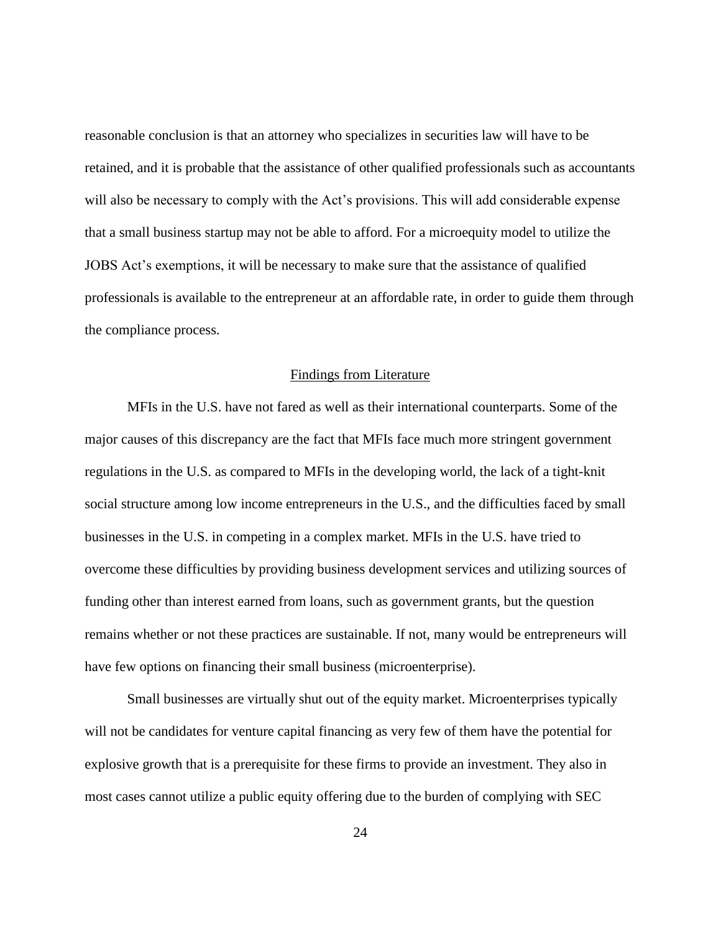reasonable conclusion is that an attorney who specializes in securities law will have to be retained, and it is probable that the assistance of other qualified professionals such as accountants will also be necessary to comply with the Act's provisions. This will add considerable expense that a small business startup may not be able to afford. For a microequity model to utilize the JOBS Act's exemptions, it will be necessary to make sure that the assistance of qualified professionals is available to the entrepreneur at an affordable rate, in order to guide them through the compliance process.

#### Findings from Literature

<span id="page-29-0"></span>MFIs in the U.S. have not fared as well as their international counterparts. Some of the major causes of this discrepancy are the fact that MFIs face much more stringent government regulations in the U.S. as compared to MFIs in the developing world, the lack of a tight-knit social structure among low income entrepreneurs in the U.S., and the difficulties faced by small businesses in the U.S. in competing in a complex market. MFIs in the U.S. have tried to overcome these difficulties by providing business development services and utilizing sources of funding other than interest earned from loans, such as government grants, but the question remains whether or not these practices are sustainable. If not, many would be entrepreneurs will have few options on financing their small business (microenterprise).

Small businesses are virtually shut out of the equity market. Microenterprises typically will not be candidates for venture capital financing as very few of them have the potential for explosive growth that is a prerequisite for these firms to provide an investment. They also in most cases cannot utilize a public equity offering due to the burden of complying with SEC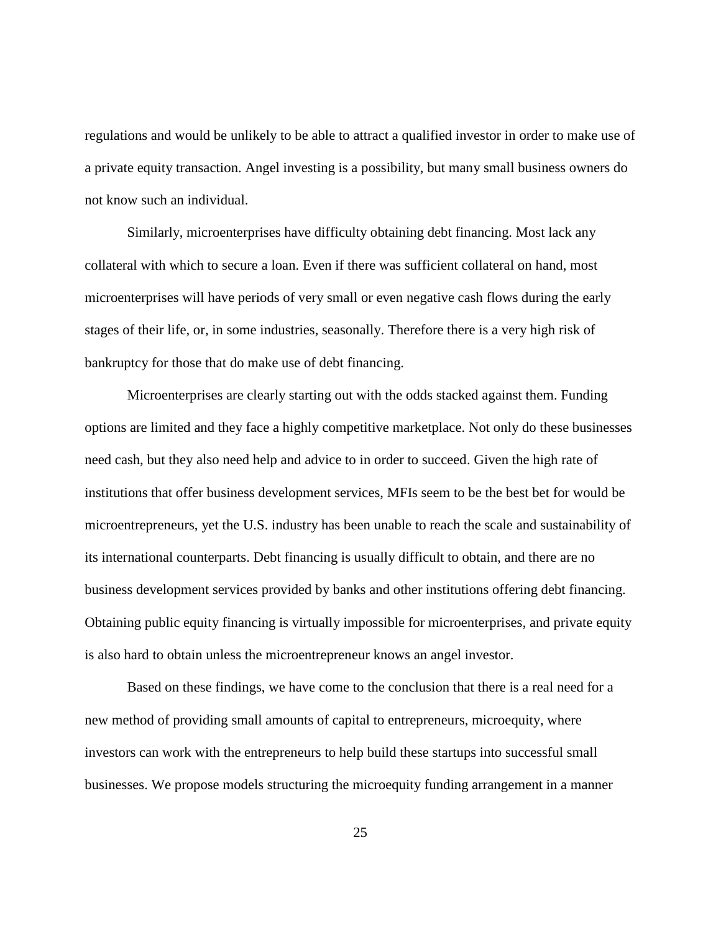regulations and would be unlikely to be able to attract a qualified investor in order to make use of a private equity transaction. Angel investing is a possibility, but many small business owners do not know such an individual.

Similarly, microenterprises have difficulty obtaining debt financing. Most lack any collateral with which to secure a loan. Even if there was sufficient collateral on hand, most microenterprises will have periods of very small or even negative cash flows during the early stages of their life, or, in some industries, seasonally. Therefore there is a very high risk of bankruptcy for those that do make use of debt financing.

Microenterprises are clearly starting out with the odds stacked against them. Funding options are limited and they face a highly competitive marketplace. Not only do these businesses need cash, but they also need help and advice to in order to succeed. Given the high rate of institutions that offer business development services, MFIs seem to be the best bet for would be microentrepreneurs, yet the U.S. industry has been unable to reach the scale and sustainability of its international counterparts. Debt financing is usually difficult to obtain, and there are no business development services provided by banks and other institutions offering debt financing. Obtaining public equity financing is virtually impossible for microenterprises, and private equity is also hard to obtain unless the microentrepreneur knows an angel investor.

Based on these findings, we have come to the conclusion that there is a real need for a new method of providing small amounts of capital to entrepreneurs, microequity, where investors can work with the entrepreneurs to help build these startups into successful small businesses. We propose models structuring the microequity funding arrangement in a manner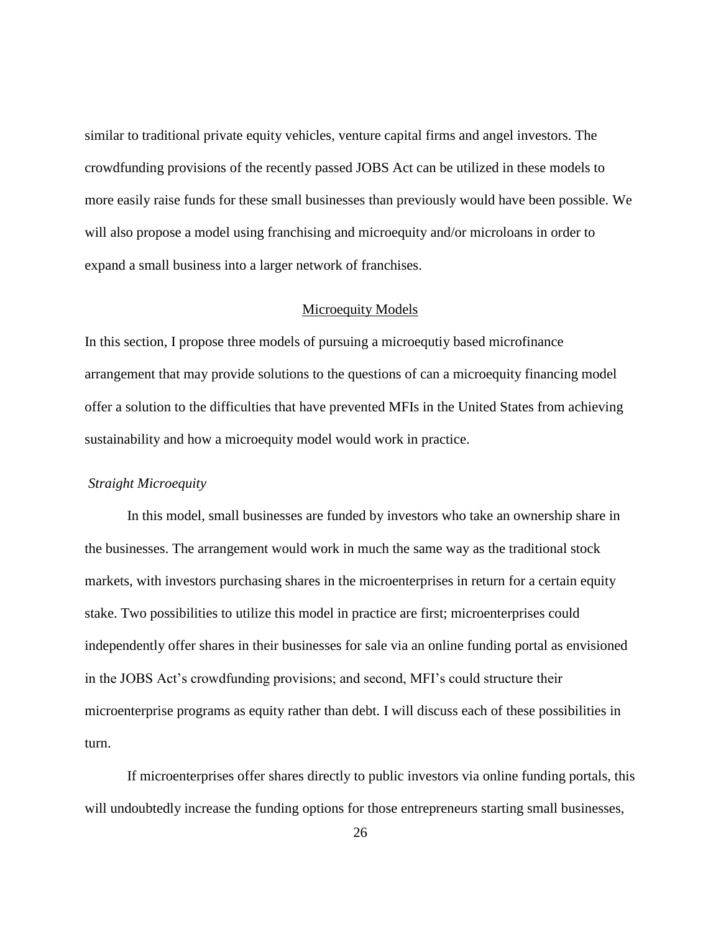similar to traditional private equity vehicles, venture capital firms and angel investors. The crowdfunding provisions of the recently passed JOBS Act can be utilized in these models to more easily raise funds for these small businesses than previously would have been possible. We will also propose a model using franchising and microequity and/or microloans in order to expand a small business into a larger network of franchises.

#### Microequity Models

<span id="page-31-0"></span>In this section, I propose three models of pursuing a microequtiy based microfinance arrangement that may provide solutions to the questions of can a microequity financing model offer a solution to the difficulties that have prevented MFIs in the United States from achieving sustainability and how a microequity model would work in practice.

#### <span id="page-31-1"></span>*Straight Microequity*

In this model, small businesses are funded by investors who take an ownership share in the businesses. The arrangement would work in much the same way as the traditional stock markets, with investors purchasing shares in the microenterprises in return for a certain equity stake. Two possibilities to utilize this model in practice are first; microenterprises could independently offer shares in their businesses for sale via an online funding portal as envisioned in the JOBS Act's crowdfunding provisions; and second, MFI's could structure their microenterprise programs as equity rather than debt. I will discuss each of these possibilities in turn.

If microenterprises offer shares directly to public investors via online funding portals, this will undoubtedly increase the funding options for those entrepreneurs starting small businesses,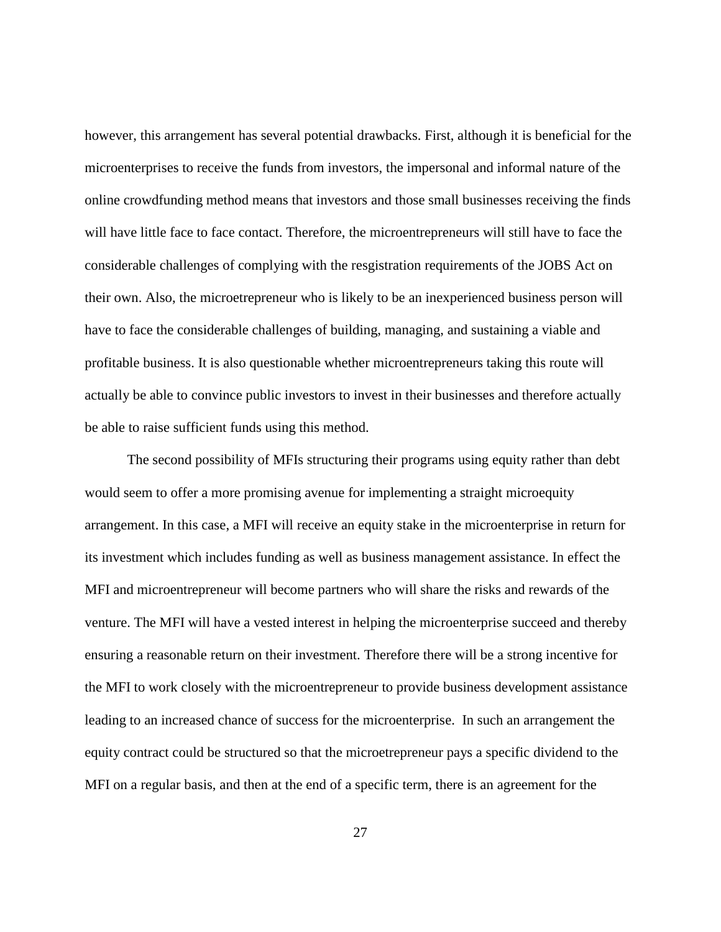however, this arrangement has several potential drawbacks. First, although it is beneficial for the microenterprises to receive the funds from investors, the impersonal and informal nature of the online crowdfunding method means that investors and those small businesses receiving the finds will have little face to face contact. Therefore, the microentrepreneurs will still have to face the considerable challenges of complying with the resgistration requirements of the JOBS Act on their own. Also, the microetrepreneur who is likely to be an inexperienced business person will have to face the considerable challenges of building, managing, and sustaining a viable and profitable business. It is also questionable whether microentrepreneurs taking this route will actually be able to convince public investors to invest in their businesses and therefore actually be able to raise sufficient funds using this method.

The second possibility of MFIs structuring their programs using equity rather than debt would seem to offer a more promising avenue for implementing a straight microequity arrangement. In this case, a MFI will receive an equity stake in the microenterprise in return for its investment which includes funding as well as business management assistance. In effect the MFI and microentrepreneur will become partners who will share the risks and rewards of the venture. The MFI will have a vested interest in helping the microenterprise succeed and thereby ensuring a reasonable return on their investment. Therefore there will be a strong incentive for the MFI to work closely with the microentrepreneur to provide business development assistance leading to an increased chance of success for the microenterprise. In such an arrangement the equity contract could be structured so that the microetrepreneur pays a specific dividend to the MFI on a regular basis, and then at the end of a specific term, there is an agreement for the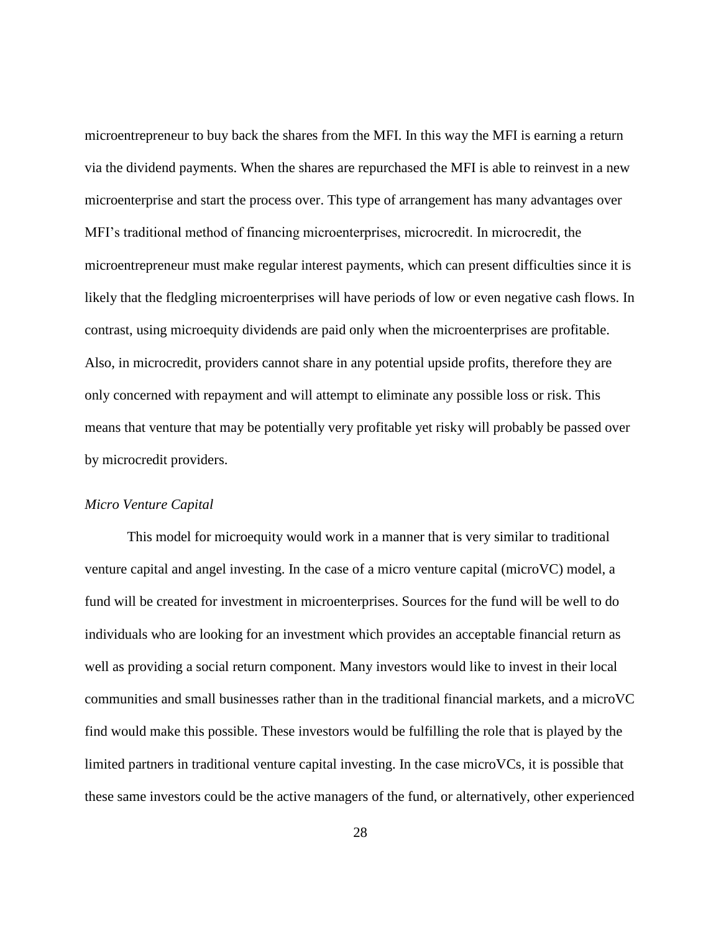microentrepreneur to buy back the shares from the MFI. In this way the MFI is earning a return via the dividend payments. When the shares are repurchased the MFI is able to reinvest in a new microenterprise and start the process over. This type of arrangement has many advantages over MFI's traditional method of financing microenterprises, microcredit. In microcredit, the microentrepreneur must make regular interest payments, which can present difficulties since it is likely that the fledgling microenterprises will have periods of low or even negative cash flows. In contrast, using microequity dividends are paid only when the microenterprises are profitable. Also, in microcredit, providers cannot share in any potential upside profits, therefore they are only concerned with repayment and will attempt to eliminate any possible loss or risk. This means that venture that may be potentially very profitable yet risky will probably be passed over by microcredit providers.

#### <span id="page-33-0"></span>*Micro Venture Capital*

This model for microequity would work in a manner that is very similar to traditional venture capital and angel investing. In the case of a micro venture capital (microVC) model, a fund will be created for investment in microenterprises. Sources for the fund will be well to do individuals who are looking for an investment which provides an acceptable financial return as well as providing a social return component. Many investors would like to invest in their local communities and small businesses rather than in the traditional financial markets, and a microVC find would make this possible. These investors would be fulfilling the role that is played by the limited partners in traditional venture capital investing. In the case microVCs, it is possible that these same investors could be the active managers of the fund, or alternatively, other experienced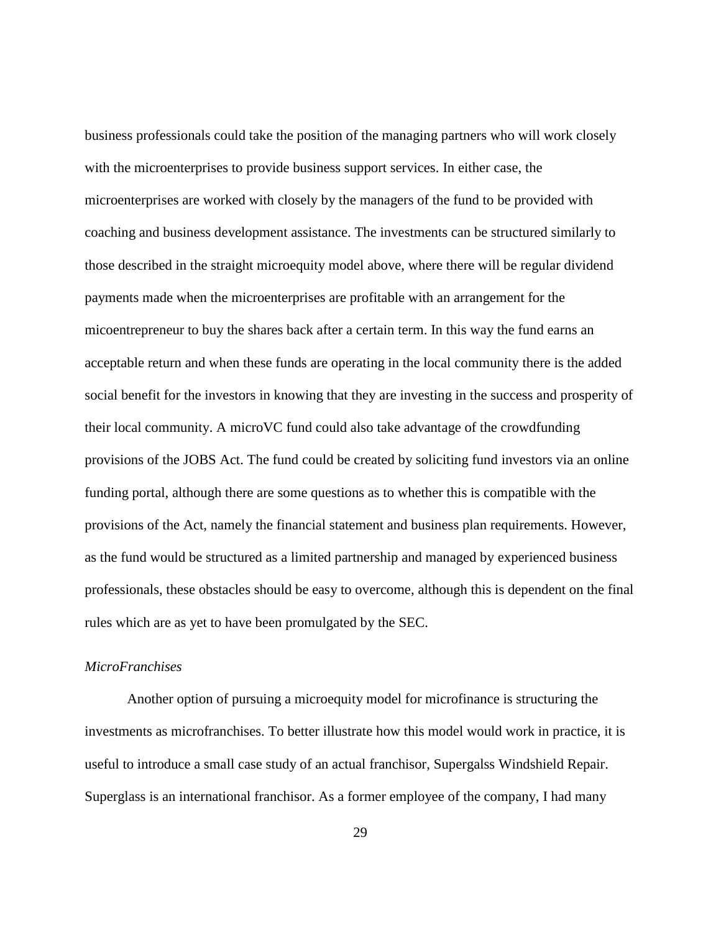business professionals could take the position of the managing partners who will work closely with the microenterprises to provide business support services. In either case, the microenterprises are worked with closely by the managers of the fund to be provided with coaching and business development assistance. The investments can be structured similarly to those described in the straight microequity model above, where there will be regular dividend payments made when the microenterprises are profitable with an arrangement for the micoentrepreneur to buy the shares back after a certain term. In this way the fund earns an acceptable return and when these funds are operating in the local community there is the added social benefit for the investors in knowing that they are investing in the success and prosperity of their local community. A microVC fund could also take advantage of the crowdfunding provisions of the JOBS Act. The fund could be created by soliciting fund investors via an online funding portal, although there are some questions as to whether this is compatible with the provisions of the Act, namely the financial statement and business plan requirements. However, as the fund would be structured as a limited partnership and managed by experienced business professionals, these obstacles should be easy to overcome, although this is dependent on the final rules which are as yet to have been promulgated by the SEC.

#### <span id="page-34-0"></span>*MicroFranchises*

Another option of pursuing a microequity model for microfinance is structuring the investments as microfranchises. To better illustrate how this model would work in practice, it is useful to introduce a small case study of an actual franchisor, Supergalss Windshield Repair. Superglass is an international franchisor. As a former employee of the company, I had many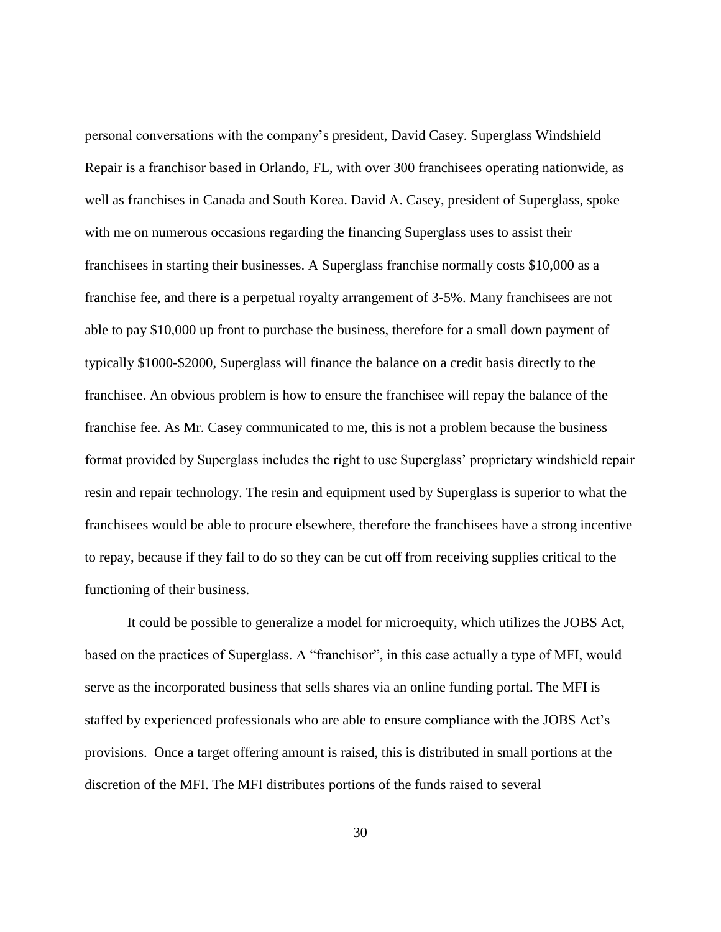personal conversations with the company's president, David Casey. Superglass Windshield Repair is a franchisor based in Orlando, FL, with over 300 franchisees operating nationwide, as well as franchises in Canada and South Korea. David A. Casey, president of Superglass, spoke with me on numerous occasions regarding the financing Superglass uses to assist their franchisees in starting their businesses. A Superglass franchise normally costs \$10,000 as a franchise fee, and there is a perpetual royalty arrangement of 3-5%. Many franchisees are not able to pay \$10,000 up front to purchase the business, therefore for a small down payment of typically \$1000-\$2000, Superglass will finance the balance on a credit basis directly to the franchisee. An obvious problem is how to ensure the franchisee will repay the balance of the franchise fee. As Mr. Casey communicated to me, this is not a problem because the business format provided by Superglass includes the right to use Superglass' proprietary windshield repair resin and repair technology. The resin and equipment used by Superglass is superior to what the franchisees would be able to procure elsewhere, therefore the franchisees have a strong incentive to repay, because if they fail to do so they can be cut off from receiving supplies critical to the functioning of their business.

It could be possible to generalize a model for microequity, which utilizes the JOBS Act, based on the practices of Superglass. A "franchisor", in this case actually a type of MFI, would serve as the incorporated business that sells shares via an online funding portal. The MFI is staffed by experienced professionals who are able to ensure compliance with the JOBS Act's provisions. Once a target offering amount is raised, this is distributed in small portions at the discretion of the MFI. The MFI distributes portions of the funds raised to several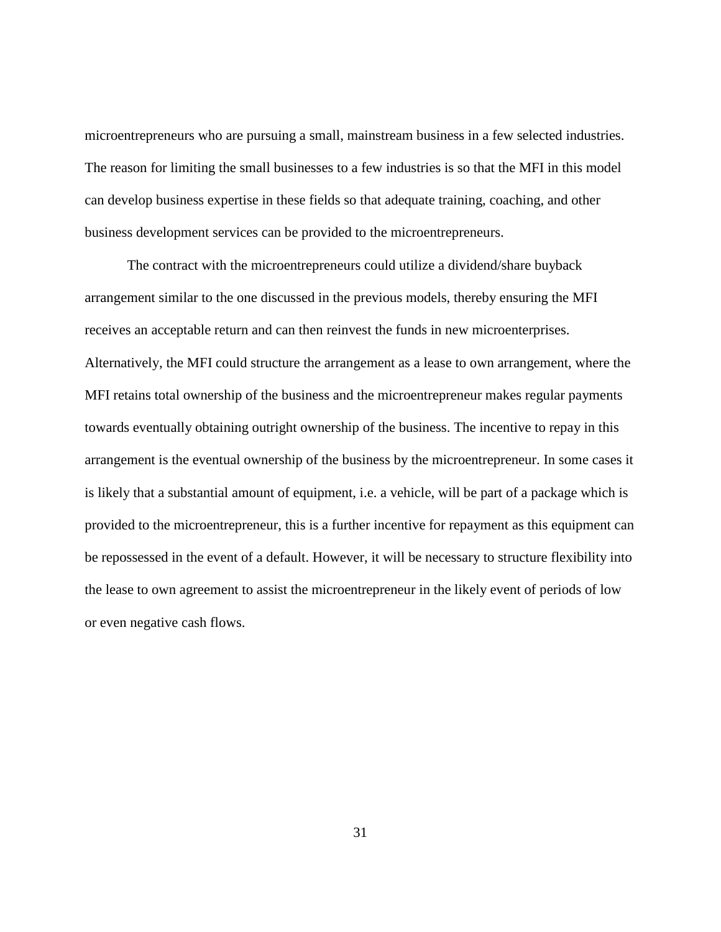microentrepreneurs who are pursuing a small, mainstream business in a few selected industries. The reason for limiting the small businesses to a few industries is so that the MFI in this model can develop business expertise in these fields so that adequate training, coaching, and other business development services can be provided to the microentrepreneurs.

<span id="page-36-0"></span>The contract with the microentrepreneurs could utilize a dividend/share buyback arrangement similar to the one discussed in the previous models, thereby ensuring the MFI receives an acceptable return and can then reinvest the funds in new microenterprises. Alternatively, the MFI could structure the arrangement as a lease to own arrangement, where the MFI retains total ownership of the business and the microentrepreneur makes regular payments towards eventually obtaining outright ownership of the business. The incentive to repay in this arrangement is the eventual ownership of the business by the microentrepreneur. In some cases it is likely that a substantial amount of equipment, i.e. a vehicle, will be part of a package which is provided to the microentrepreneur, this is a further incentive for repayment as this equipment can be repossessed in the event of a default. However, it will be necessary to structure flexibility into the lease to own agreement to assist the microentrepreneur in the likely event of periods of low or even negative cash flows.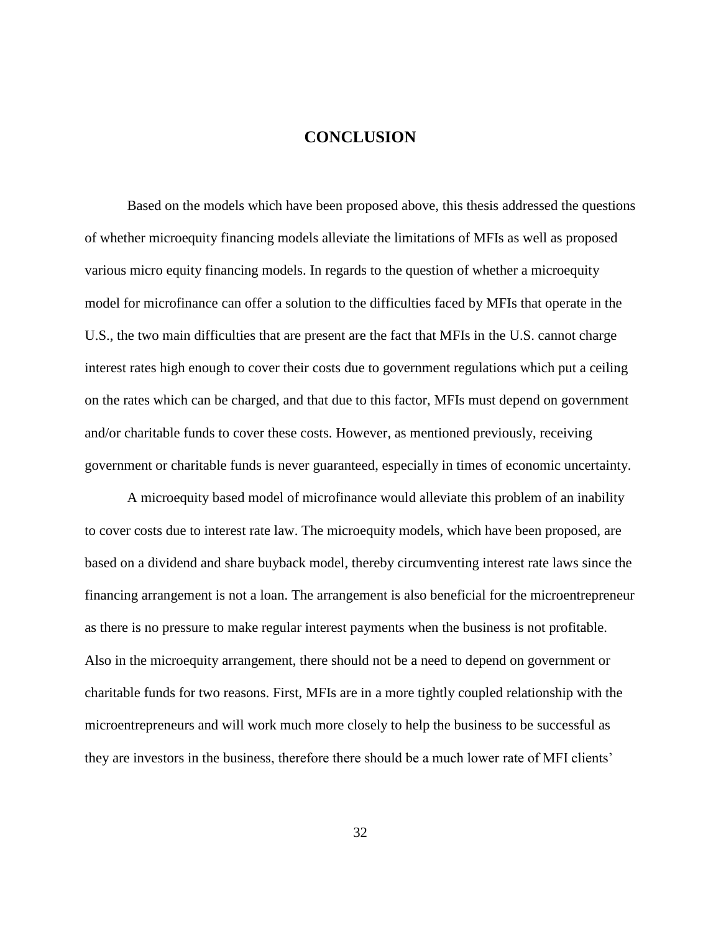# **CONCLUSION**

Based on the models which have been proposed above, this thesis addressed the questions of whether microequity financing models alleviate the limitations of MFIs as well as proposed various micro equity financing models. In regards to the question of whether a microequity model for microfinance can offer a solution to the difficulties faced by MFIs that operate in the U.S., the two main difficulties that are present are the fact that MFIs in the U.S. cannot charge interest rates high enough to cover their costs due to government regulations which put a ceiling on the rates which can be charged, and that due to this factor, MFIs must depend on government and/or charitable funds to cover these costs. However, as mentioned previously, receiving government or charitable funds is never guaranteed, especially in times of economic uncertainty.

A microequity based model of microfinance would alleviate this problem of an inability to cover costs due to interest rate law. The microequity models, which have been proposed, are based on a dividend and share buyback model, thereby circumventing interest rate laws since the financing arrangement is not a loan. The arrangement is also beneficial for the microentrepreneur as there is no pressure to make regular interest payments when the business is not profitable. Also in the microequity arrangement, there should not be a need to depend on government or charitable funds for two reasons. First, MFIs are in a more tightly coupled relationship with the microentrepreneurs and will work much more closely to help the business to be successful as they are investors in the business, therefore there should be a much lower rate of MFI clients'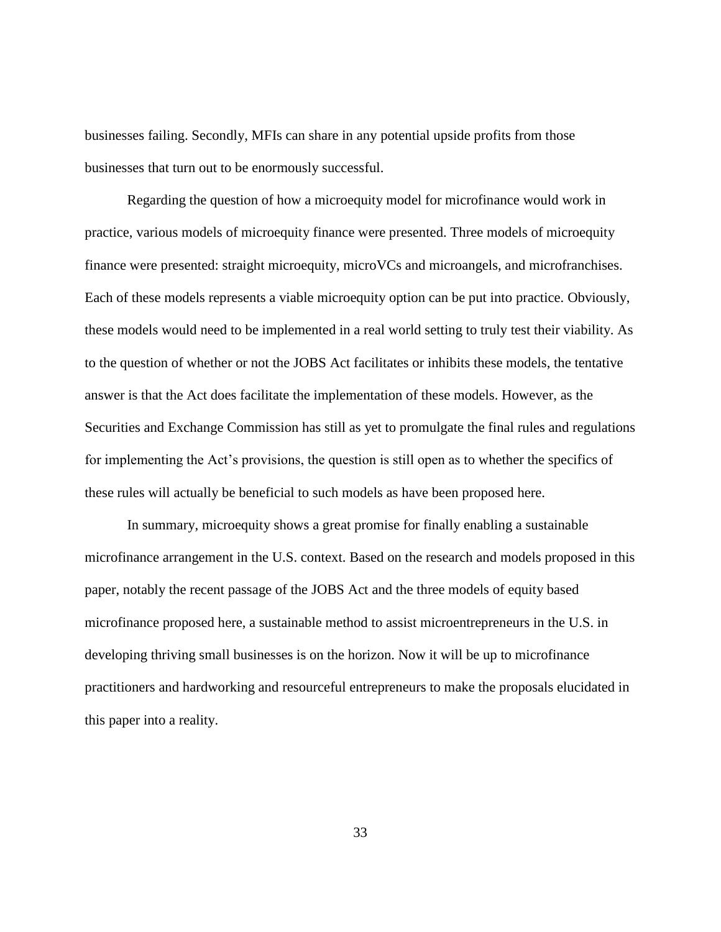businesses failing. Secondly, MFIs can share in any potential upside profits from those businesses that turn out to be enormously successful.

Regarding the question of how a microequity model for microfinance would work in practice, various models of microequity finance were presented. Three models of microequity finance were presented: straight microequity, microVCs and microangels, and microfranchises. Each of these models represents a viable microequity option can be put into practice. Obviously, these models would need to be implemented in a real world setting to truly test their viability. As to the question of whether or not the JOBS Act facilitates or inhibits these models, the tentative answer is that the Act does facilitate the implementation of these models. However, as the Securities and Exchange Commission has still as yet to promulgate the final rules and regulations for implementing the Act's provisions, the question is still open as to whether the specifics of these rules will actually be beneficial to such models as have been proposed here.

In summary, microequity shows a great promise for finally enabling a sustainable microfinance arrangement in the U.S. context. Based on the research and models proposed in this paper, notably the recent passage of the JOBS Act and the three models of equity based microfinance proposed here, a sustainable method to assist microentrepreneurs in the U.S. in developing thriving small businesses is on the horizon. Now it will be up to microfinance practitioners and hardworking and resourceful entrepreneurs to make the proposals elucidated in this paper into a reality.

33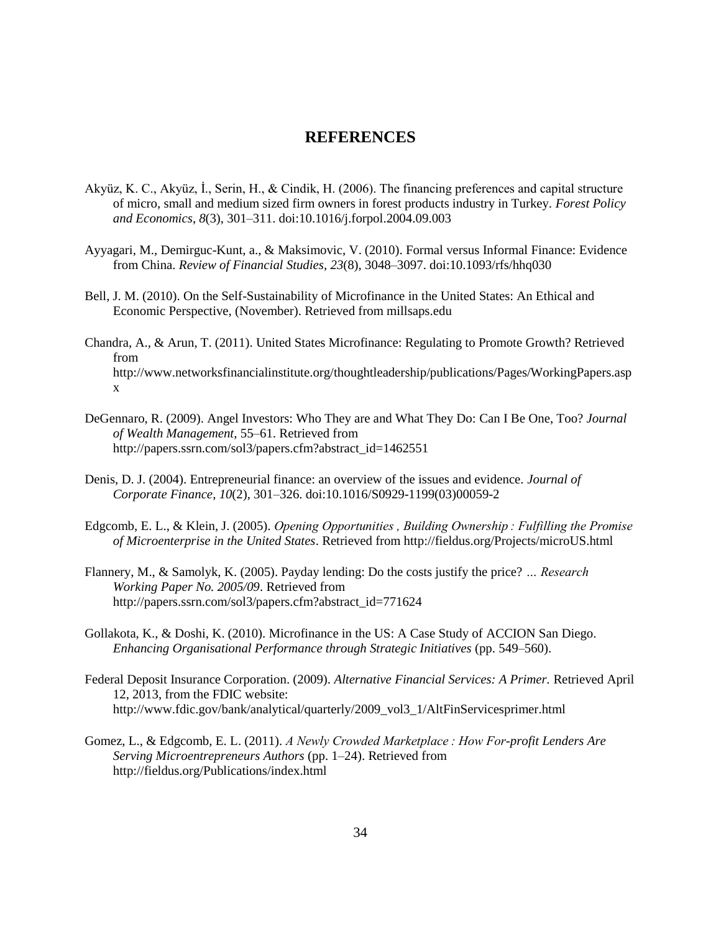### **REFERENCES**

- <span id="page-39-0"></span>Akyüz, K. C., Akyüz, İ., Serіn, H., & Cindik, H. (2006). The financing preferences and capital structure of micro, small and medium sized firm owners in forest products industry in Turkey. *Forest Policy and Economics*, *8*(3), 301–311. doi:10.1016/j.forpol.2004.09.003
- Ayyagari, M., Demirguc-Kunt, a., & Maksimovic, V. (2010). Formal versus Informal Finance: Evidence from China. *Review of Financial Studies*, *23*(8), 3048–3097. doi:10.1093/rfs/hhq030
- Bell, J. M. (2010). On the Self-Sustainability of Microfinance in the United States: An Ethical and Economic Perspective, (November). Retrieved from millsaps.edu
- Chandra, A., & Arun, T. (2011). United States Microfinance: Regulating to Promote Growth? Retrieved from http://www.networksfinancialinstitute.org/thoughtleadership/publications/Pages/WorkingPapers.asp x
- DeGennaro, R. (2009). Angel Investors: Who They are and What They Do: Can I Be One, Too? *Journal of Wealth Management*, 55–61. Retrieved from http://papers.ssrn.com/sol3/papers.cfm?abstract\_id=1462551
- Denis, D. J. (2004). Entrepreneurial finance: an overview of the issues and evidence. *Journal of Corporate Finance*, *10*(2), 301–326. doi:10.1016/S0929-1199(03)00059-2
- Edgcomb, E. L., & Klein, J. (2005). *Opening Opportunities , Building Ownership : Fulfilling the Promise of Microenterprise in the United States*. Retrieved from http://fieldus.org/Projects/microUS.html
- Flannery, M., & Samolyk, K. (2005). Payday lending: Do the costs justify the price? *… Research Working Paper No. 2005/09*. Retrieved from http://papers.ssrn.com/sol3/papers.cfm?abstract\_id=771624
- Gollakota, K., & Doshi, K. (2010). Microfinance in the US: A Case Study of ACCION San Diego. *Enhancing Organisational Performance through Strategic Initiatives* (pp. 549–560).
- Federal Deposit Insurance Corporation. (2009). *Alternative Financial Services: A Primer.* Retrieved April 12, 2013, from the FDIC website: http://www.fdic.gov/bank/analytical/quarterly/2009\_vol3\_1/AltFinServicesprimer.html
- Gomez, L., & Edgcomb, E. L. (2011). *A Newly Crowded Marketplace : How For-profit Lenders Are Serving Microentrepreneurs Authors* (pp. 1–24). Retrieved from http://fieldus.org/Publications/index.html